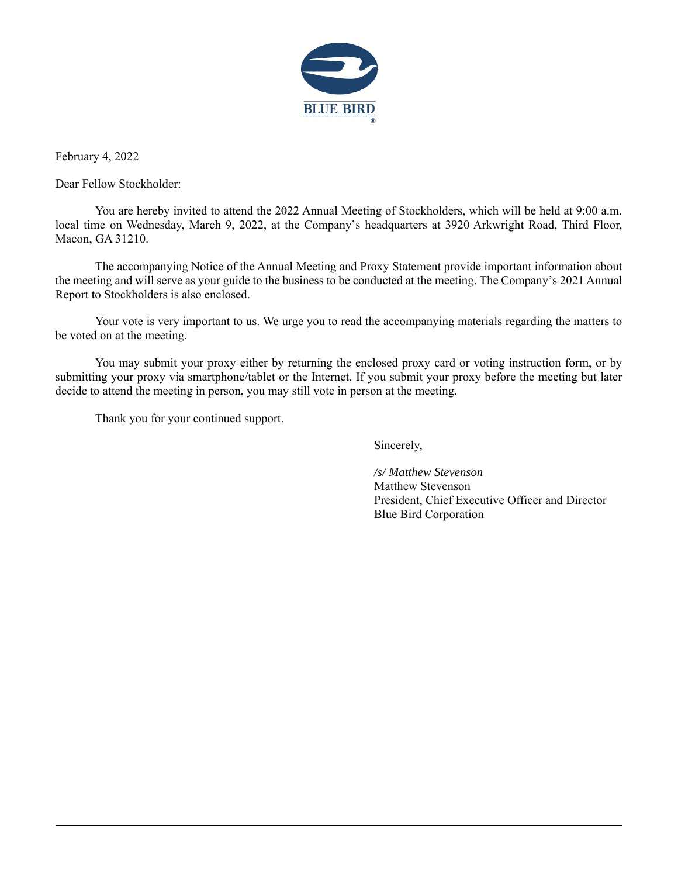

February 4, 2022

Dear Fellow Stockholder:

You are hereby invited to attend the 2022 Annual Meeting of Stockholders, which will be held at 9:00 a.m. local time on Wednesday, March 9, 2022, at the Company's headquarters at 3920 Arkwright Road, Third Floor, Macon, GA 31210.

The accompanying Notice of the Annual Meeting and Proxy Statement provide important information about the meeting and will serve as your guide to the business to be conducted at the meeting. The Company's 2021 Annual Report to Stockholders is also enclosed.

Your vote is very important to us. We urge you to read the accompanying materials regarding the matters to be voted on at the meeting.

You may submit your proxy either by returning the enclosed proxy card or voting instruction form, or by submitting your proxy via smartphone/tablet or the Internet. If you submit your proxy before the meeting but later decide to attend the meeting in person, you may still vote in person at the meeting.

Thank you for your continued support.

Sincerely,

 */s/ Matthew Stevenson* Matthew Stevenson President, Chief Executive Officer and Director Blue Bird Corporation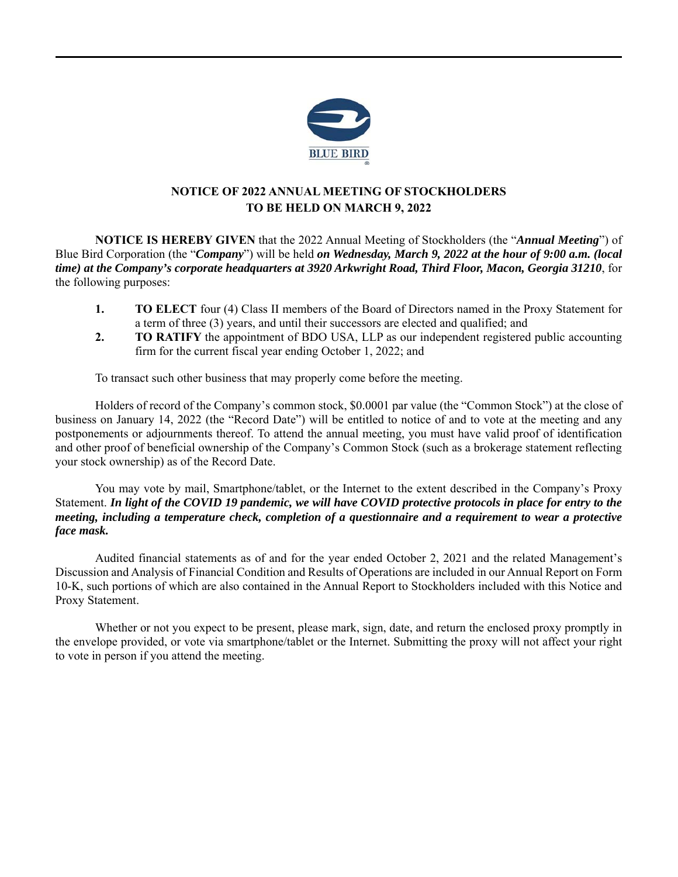

# **NOTICE OF 2022 ANNUAL MEETING OF STOCKHOLDERS TO BE HELD ON MARCH 9, 2022**

**NOTICE IS HEREBY GIVEN** that the 2022 Annual Meeting of Stockholders (the "*Annual Meeting*") of Blue Bird Corporation (the "*Company*") will be held *on Wednesday, March 9, 2022 at the hour of 9:00 a.m. (local time) at the Company's corporate headquarters at 3920 Arkwright Road, Third Floor, Macon, Georgia 31210*, for the following purposes:

- **1. TO ELECT** four (4) Class II members of the Board of Directors named in the Proxy Statement for a term of three (3) years, and until their successors are elected and qualified; and
- **2. TO RATIFY** the appointment of BDO USA, LLP as our independent registered public accounting firm for the current fiscal year ending October 1, 2022; and

To transact such other business that may properly come before the meeting.

Holders of record of the Company's common stock, \$0.0001 par value (the "Common Stock") at the close of business on January 14, 2022 (the "Record Date") will be entitled to notice of and to vote at the meeting and any postponements or adjournments thereof. To attend the annual meeting, you must have valid proof of identification and other proof of beneficial ownership of the Company's Common Stock (such as a brokerage statement reflecting your stock ownership) as of the Record Date.

You may vote by mail, Smartphone/tablet, or the Internet to the extent described in the Company's Proxy Statement. *In light of the COVID 19 pandemic, we will have COVID protective protocols in place for entry to the meeting, including a temperature check, completion of a questionnaire and a requirement to wear a protective face mask.* 

Audited financial statements as of and for the year ended October 2, 2021 and the related Management's Discussion and Analysis of Financial Condition and Results of Operations are included in our Annual Report on Form 10-K, such portions of which are also contained in the Annual Report to Stockholders included with this Notice and Proxy Statement.

Whether or not you expect to be present, please mark, sign, date, and return the enclosed proxy promptly in the envelope provided, or vote via smartphone/tablet or the Internet. Submitting the proxy will not affect your right to vote in person if you attend the meeting.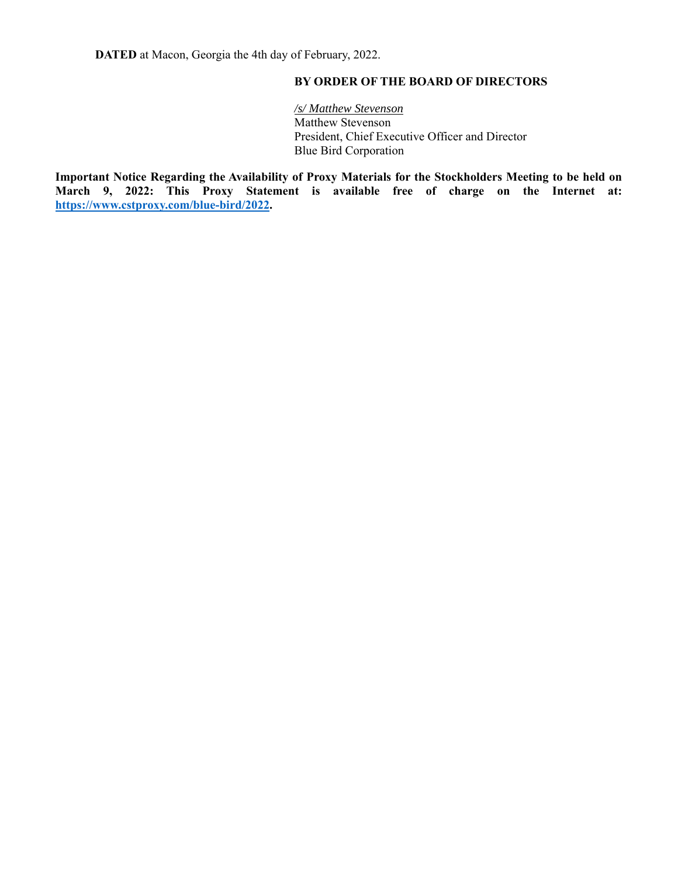# **BY ORDER OF THE BOARD OF DIRECTORS**

*/s/ Matthew Stevenson*  Matthew Stevenson President, Chief Executive Officer and Director Blue Bird Corporation

**Important Notice Regarding the Availability of Proxy Materials for the Stockholders Meeting to be held on March 9, 2022: This Proxy Statement is available free of charge on the Internet at: https://www.cstproxy.com/blue-bird/2022.**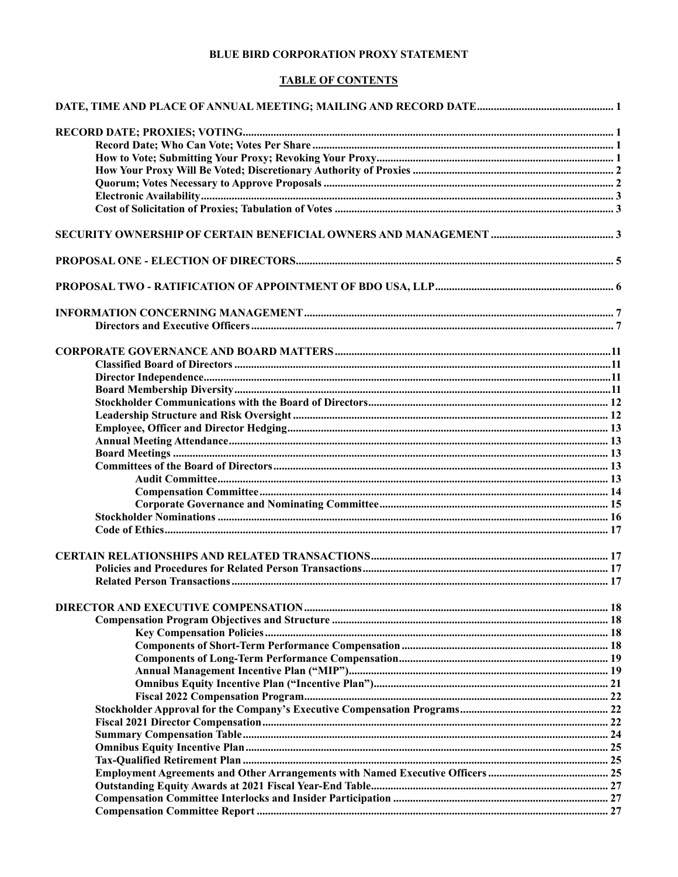# BLUE BIRD CORPORATION PROXY STATEMENT

# **TABLE OF CONTENTS**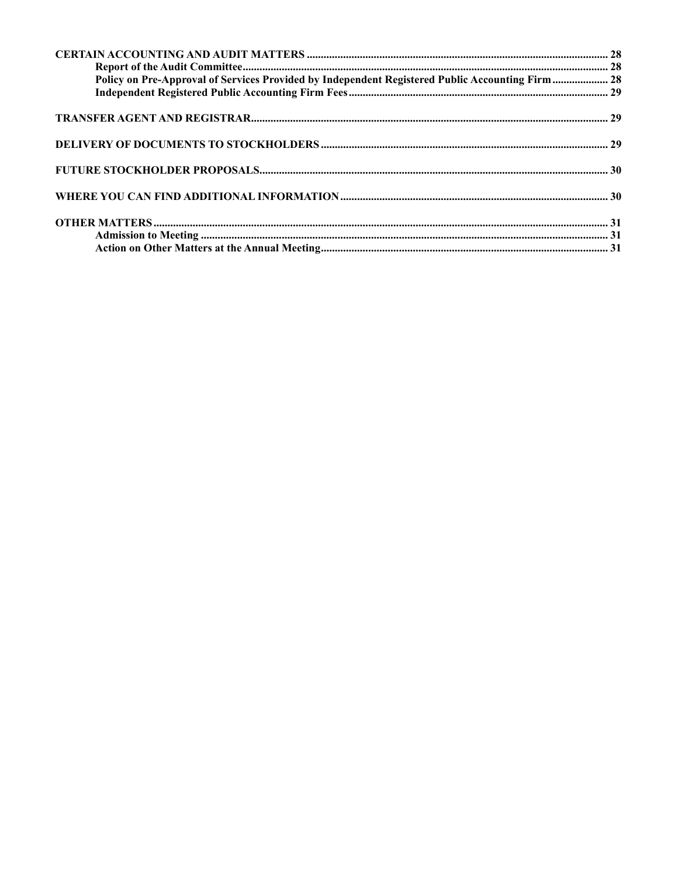| Policy on Pre-Approval of Services Provided by Independent Registered Public Accounting Firm  28 |  |
|--------------------------------------------------------------------------------------------------|--|
|                                                                                                  |  |
|                                                                                                  |  |
|                                                                                                  |  |
|                                                                                                  |  |
|                                                                                                  |  |
|                                                                                                  |  |
|                                                                                                  |  |
|                                                                                                  |  |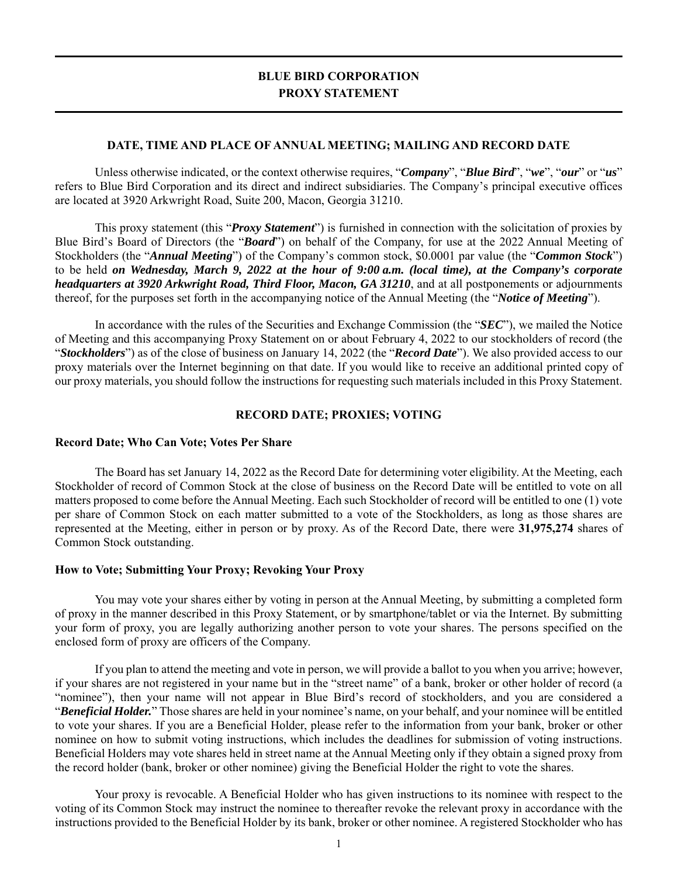# **BLUE BIRD CORPORATION PROXY STATEMENT**

## **DATE, TIME AND PLACE OF ANNUAL MEETING; MAILING AND RECORD DATE**

Unless otherwise indicated, or the context otherwise requires, "*Company*", "*Blue Bird*", "*we*", "*our*" or "*us*" refers to Blue Bird Corporation and its direct and indirect subsidiaries. The Company's principal executive offices are located at 3920 Arkwright Road, Suite 200, Macon, Georgia 31210.

This proxy statement (this "*Proxy Statement*") is furnished in connection with the solicitation of proxies by Blue Bird's Board of Directors (the "*Board*") on behalf of the Company, for use at the 2022 Annual Meeting of Stockholders (the "*Annual Meeting*") of the Company's common stock, \$0.0001 par value (the "*Common Stock*") to be held *on Wednesday, March 9, 2022 at the hour of 9:00 a.m. (local time), at the Company's corporate headquarters at 3920 Arkwright Road, Third Floor, Macon, GA 31210*, and at all postponements or adjournments thereof, for the purposes set forth in the accompanying notice of the Annual Meeting (the "*Notice of Meeting*").

In accordance with the rules of the Securities and Exchange Commission (the "*SEC*"), we mailed the Notice of Meeting and this accompanying Proxy Statement on or about February 4, 2022 to our stockholders of record (the "*Stockholders*") as of the close of business on January 14, 2022 (the "*Record Date*"). We also provided access to our proxy materials over the Internet beginning on that date. If you would like to receive an additional printed copy of our proxy materials, you should follow the instructions for requesting such materials included in this Proxy Statement.

## **RECORD DATE; PROXIES; VOTING**

#### **Record Date; Who Can Vote; Votes Per Share**

The Board has set January 14, 2022 as the Record Date for determining voter eligibility. At the Meeting, each Stockholder of record of Common Stock at the close of business on the Record Date will be entitled to vote on all matters proposed to come before the Annual Meeting. Each such Stockholder of record will be entitled to one (1) vote per share of Common Stock on each matter submitted to a vote of the Stockholders, as long as those shares are represented at the Meeting, either in person or by proxy. As of the Record Date, there were **31,975,274** shares of Common Stock outstanding.

#### **How to Vote; Submitting Your Proxy; Revoking Your Proxy**

You may vote your shares either by voting in person at the Annual Meeting, by submitting a completed form of proxy in the manner described in this Proxy Statement, or by smartphone/tablet or via the Internet. By submitting your form of proxy, you are legally authorizing another person to vote your shares. The persons specified on the enclosed form of proxy are officers of the Company.

If you plan to attend the meeting and vote in person, we will provide a ballot to you when you arrive; however, if your shares are not registered in your name but in the "street name" of a bank, broker or other holder of record (a "nominee"), then your name will not appear in Blue Bird's record of stockholders, and you are considered a "*Beneficial Holder.*" Those shares are held in your nominee's name, on your behalf, and your nominee will be entitled to vote your shares. If you are a Beneficial Holder, please refer to the information from your bank, broker or other nominee on how to submit voting instructions, which includes the deadlines for submission of voting instructions. Beneficial Holders may vote shares held in street name at the Annual Meeting only if they obtain a signed proxy from the record holder (bank, broker or other nominee) giving the Beneficial Holder the right to vote the shares.

Your proxy is revocable. A Beneficial Holder who has given instructions to its nominee with respect to the voting of its Common Stock may instruct the nominee to thereafter revoke the relevant proxy in accordance with the instructions provided to the Beneficial Holder by its bank, broker or other nominee. A registered Stockholder who has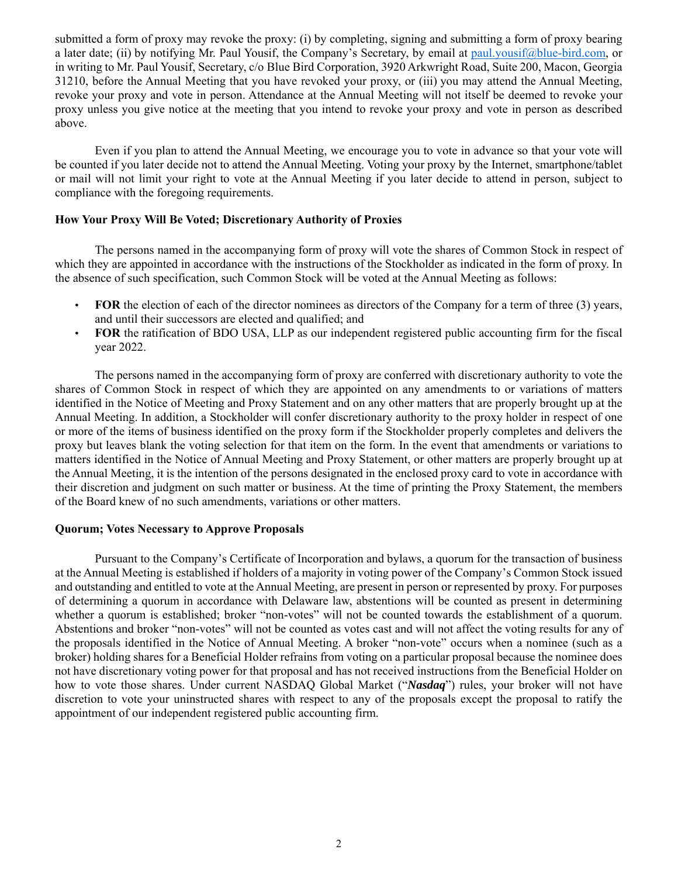submitted a form of proxy may revoke the proxy: (i) by completing, signing and submitting a form of proxy bearing a later date; (ii) by notifying Mr. Paul Yousif, the Company's Secretary, by email at paul.yousif@blue-bird.com, or in writing to Mr. Paul Yousif, Secretary, c/o Blue Bird Corporation, 3920 Arkwright Road, Suite 200, Macon, Georgia 31210, before the Annual Meeting that you have revoked your proxy, or (iii) you may attend the Annual Meeting, revoke your proxy and vote in person. Attendance at the Annual Meeting will not itself be deemed to revoke your proxy unless you give notice at the meeting that you intend to revoke your proxy and vote in person as described above.

Even if you plan to attend the Annual Meeting, we encourage you to vote in advance so that your vote will be counted if you later decide not to attend the Annual Meeting. Voting your proxy by the Internet, smartphone/tablet or mail will not limit your right to vote at the Annual Meeting if you later decide to attend in person, subject to compliance with the foregoing requirements.

## **How Your Proxy Will Be Voted; Discretionary Authority of Proxies**

The persons named in the accompanying form of proxy will vote the shares of Common Stock in respect of which they are appointed in accordance with the instructions of the Stockholder as indicated in the form of proxy. In the absence of such specification, such Common Stock will be voted at the Annual Meeting as follows:

- **FOR** the election of each of the director nominees as directors of the Company for a term of three (3) years, and until their successors are elected and qualified; and
- **FOR** the ratification of BDO USA, LLP as our independent registered public accounting firm for the fiscal year 2022.

The persons named in the accompanying form of proxy are conferred with discretionary authority to vote the shares of Common Stock in respect of which they are appointed on any amendments to or variations of matters identified in the Notice of Meeting and Proxy Statement and on any other matters that are properly brought up at the Annual Meeting. In addition, a Stockholder will confer discretionary authority to the proxy holder in respect of one or more of the items of business identified on the proxy form if the Stockholder properly completes and delivers the proxy but leaves blank the voting selection for that item on the form. In the event that amendments or variations to matters identified in the Notice of Annual Meeting and Proxy Statement, or other matters are properly brought up at the Annual Meeting, it is the intention of the persons designated in the enclosed proxy card to vote in accordance with their discretion and judgment on such matter or business. At the time of printing the Proxy Statement, the members of the Board knew of no such amendments, variations or other matters.

#### **Quorum; Votes Necessary to Approve Proposals**

Pursuant to the Company's Certificate of Incorporation and bylaws, a quorum for the transaction of business at the Annual Meeting is established if holders of a majority in voting power of the Company's Common Stock issued and outstanding and entitled to vote at the Annual Meeting, are present in person or represented by proxy. For purposes of determining a quorum in accordance with Delaware law, abstentions will be counted as present in determining whether a quorum is established; broker "non-votes" will not be counted towards the establishment of a quorum. Abstentions and broker "non-votes" will not be counted as votes cast and will not affect the voting results for any of the proposals identified in the Notice of Annual Meeting. A broker "non-vote" occurs when a nominee (such as a broker) holding shares for a Beneficial Holder refrains from voting on a particular proposal because the nominee does not have discretionary voting power for that proposal and has not received instructions from the Beneficial Holder on how to vote those shares. Under current NASDAQ Global Market ("*Nasdaq*") rules, your broker will not have discretion to vote your uninstructed shares with respect to any of the proposals except the proposal to ratify the appointment of our independent registered public accounting firm.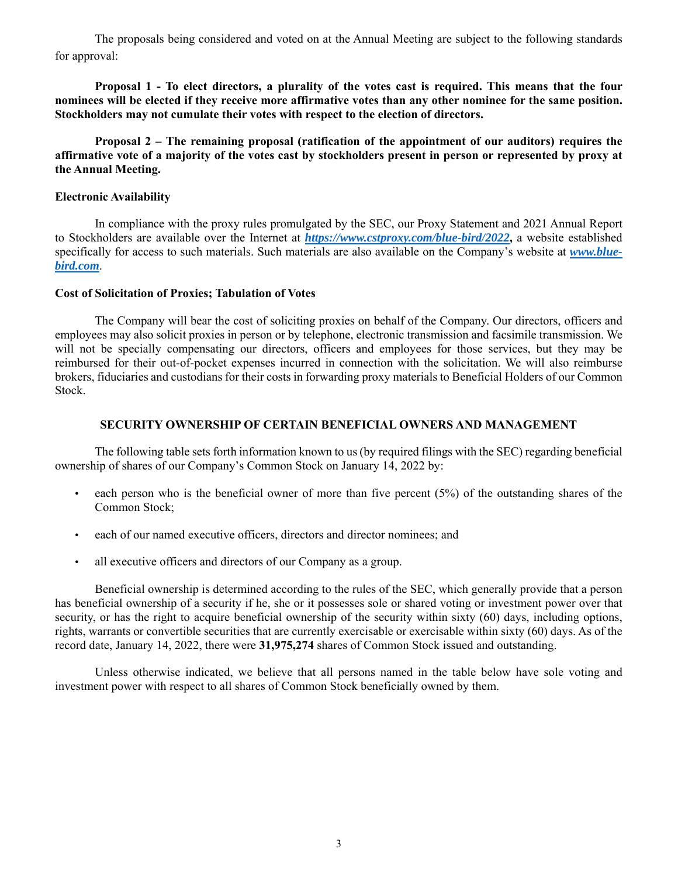The proposals being considered and voted on at the Annual Meeting are subject to the following standards for approval:

**Proposal 1 - To elect directors, a plurality of the votes cast is required. This means that the four nominees will be elected if they receive more affirmative votes than any other nominee for the same position. Stockholders may not cumulate their votes with respect to the election of directors.** 

**Proposal 2 – The remaining proposal (ratification of the appointment of our auditors) requires the affirmative vote of a majority of the votes cast by stockholders present in person or represented by proxy at the Annual Meeting.** 

## **Electronic Availability**

In compliance with the proxy rules promulgated by the SEC, our Proxy Statement and 2021 Annual Report to Stockholders are available over the Internet at *https://www.cstproxy.com/blue-bird/2022***,** a website established specifically for access to such materials. Such materials are also available on the Company's website at *www.bluebird.com*.

## **Cost of Solicitation of Proxies; Tabulation of Votes**

The Company will bear the cost of soliciting proxies on behalf of the Company. Our directors, officers and employees may also solicit proxies in person or by telephone, electronic transmission and facsimile transmission. We will not be specially compensating our directors, officers and employees for those services, but they may be reimbursed for their out-of-pocket expenses incurred in connection with the solicitation. We will also reimburse brokers, fiduciaries and custodians for their costs in forwarding proxy materials to Beneficial Holders of our Common Stock.

## **SECURITY OWNERSHIP OF CERTAIN BENEFICIAL OWNERS AND MANAGEMENT**

The following table sets forth information known to us (by required filings with the SEC) regarding beneficial ownership of shares of our Company's Common Stock on January 14, 2022 by:

- each person who is the beneficial owner of more than five percent (5%) of the outstanding shares of the Common Stock;
- each of our named executive officers, directors and director nominees; and
- all executive officers and directors of our Company as a group.

Beneficial ownership is determined according to the rules of the SEC, which generally provide that a person has beneficial ownership of a security if he, she or it possesses sole or shared voting or investment power over that security, or has the right to acquire beneficial ownership of the security within sixty (60) days, including options, rights, warrants or convertible securities that are currently exercisable or exercisable within sixty (60) days. As of the record date, January 14, 2022, there were **31,975,274** shares of Common Stock issued and outstanding.

Unless otherwise indicated, we believe that all persons named in the table below have sole voting and investment power with respect to all shares of Common Stock beneficially owned by them.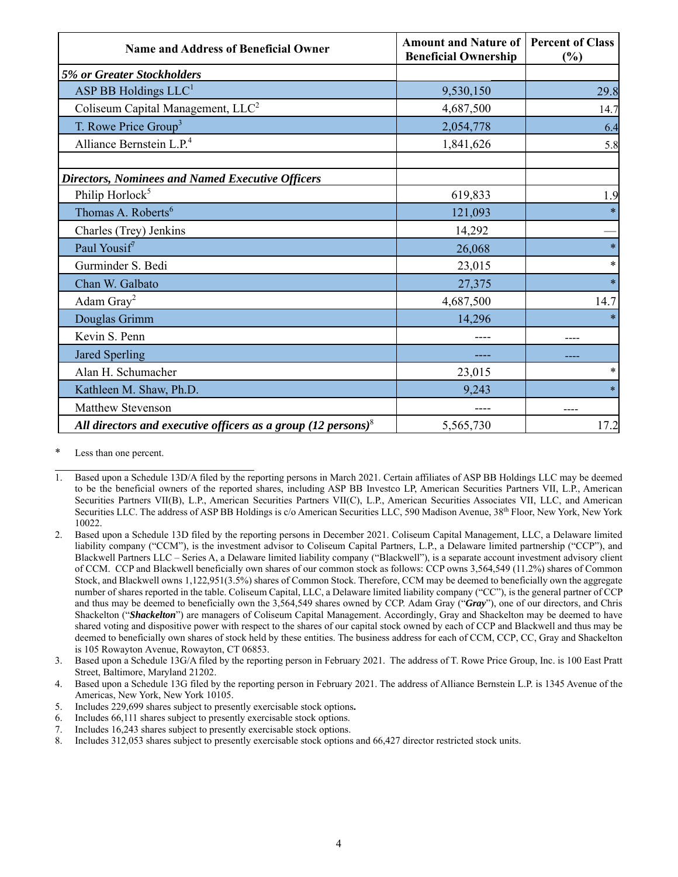| <b>Name and Address of Beneficial Owner</b>                       | <b>Amount and Nature of</b><br><b>Beneficial Ownership</b> | <b>Percent of Class</b><br>$(\%)$ |
|-------------------------------------------------------------------|------------------------------------------------------------|-----------------------------------|
| 5% or Greater Stockholders                                        |                                                            |                                   |
| ASP BB Holdings LLC <sup>1</sup>                                  | 9,530,150                                                  | 29.8                              |
| Coliseum Capital Management, LLC <sup>2</sup>                     | 4,687,500                                                  | 14.7                              |
| T. Rowe Price Group <sup>3</sup>                                  | 2,054,778                                                  | 6.4                               |
| Alliance Bernstein L.P. <sup>4</sup>                              | 1,841,626                                                  | 5.8                               |
| <b>Directors, Nominees and Named Executive Officers</b>           |                                                            |                                   |
| Philip Horlock <sup>5</sup>                                       | 619,833                                                    | 1.9                               |
| Thomas A. Roberts <sup>6</sup>                                    | 121,093                                                    |                                   |
| Charles (Trey) Jenkins                                            | 14,292                                                     |                                   |
| Paul Yousif <sup>7</sup>                                          | 26,068                                                     | $\ast$                            |
| Gurminder S. Bedi                                                 | 23,015                                                     | *                                 |
| Chan W. Galbato                                                   | 27,375                                                     | $\ast$                            |
| Adam Gray <sup>2</sup>                                            | 4,687,500                                                  | 14.7                              |
| Douglas Grimm                                                     | 14,296                                                     |                                   |
| Kevin S. Penn                                                     |                                                            |                                   |
| Jared Sperling                                                    |                                                            |                                   |
| Alan H. Schumacher                                                | 23,015                                                     | $\ast$                            |
| Kathleen M. Shaw, Ph.D.                                           | 9,243                                                      | $\ast$                            |
| Matthew Stevenson                                                 |                                                            |                                   |
| All directors and executive officers as a group (12 persons) $^8$ | 5,565,730                                                  | 17.2                              |

#### Less than one percent.

- 1. Based upon a Schedule 13D/A filed by the reporting persons in March 2021. Certain affiliates of ASP BB Holdings LLC may be deemed to be the beneficial owners of the reported shares, including ASP BB Investco LP, American Securities Partners VII, L.P., American Securities Partners VII(B), L.P., American Securities Partners VII(C), L.P., American Securities Associates VII, LLC, and American Securities LLC. The address of ASP BB Holdings is c/o American Securities LLC, 590 Madison Avenue, 38<sup>th</sup> Floor, New York, New York 10022.
- 2. Based upon a Schedule 13D filed by the reporting persons in December 2021. Coliseum Capital Management, LLC, a Delaware limited liability company ("CCM"), is the investment advisor to Coliseum Capital Partners, L.P., a Delaware limited partnership ("CCP"), and Blackwell Partners LLC – Series A, a Delaware limited liability company ("Blackwell"), is a separate account investment advisory client of CCM. CCP and Blackwell beneficially own shares of our common stock as follows: CCP owns 3,564,549 (11.2%) shares of Common Stock, and Blackwell owns 1,122,951(3.5%) shares of Common Stock. Therefore, CCM may be deemed to beneficially own the aggregate number of shares reported in the table. Coliseum Capital, LLC, a Delaware limited liability company ("CC"), is the general partner of CCP and thus may be deemed to beneficially own the 3,564,549 shares owned by CCP. Adam Gray ("*Gray*"), one of our directors, and Chris Shackelton ("*Shackelton*") are managers of Coliseum Capital Management. Accordingly, Gray and Shackelton may be deemed to have shared voting and dispositive power with respect to the shares of our capital stock owned by each of CCP and Blackwell and thus may be deemed to beneficially own shares of stock held by these entities. The business address for each of CCM, CCP, CC, Gray and Shackelton is 105 Rowayton Avenue, Rowayton, CT 06853.
- 3. Based upon a Schedule 13G/A filed by the reporting person in February 2021. The address of T. Rowe Price Group, Inc. is 100 East Pratt Street, Baltimore, Maryland 21202.
- 4. Based upon a Schedule 13G filed by the reporting person in February 2021. The address of Alliance Bernstein L.P. is 1345 Avenue of the Americas, New York, New York 10105.
- 5. Includes 229,699 shares subject to presently exercisable stock options**.**
- 6. Includes 66,111 shares subject to presently exercisable stock options.
- 7. Includes 16,243 shares subject to presently exercisable stock options.
- 8. Includes 312,053 shares subject to presently exercisable stock options and 66,427 director restricted stock units.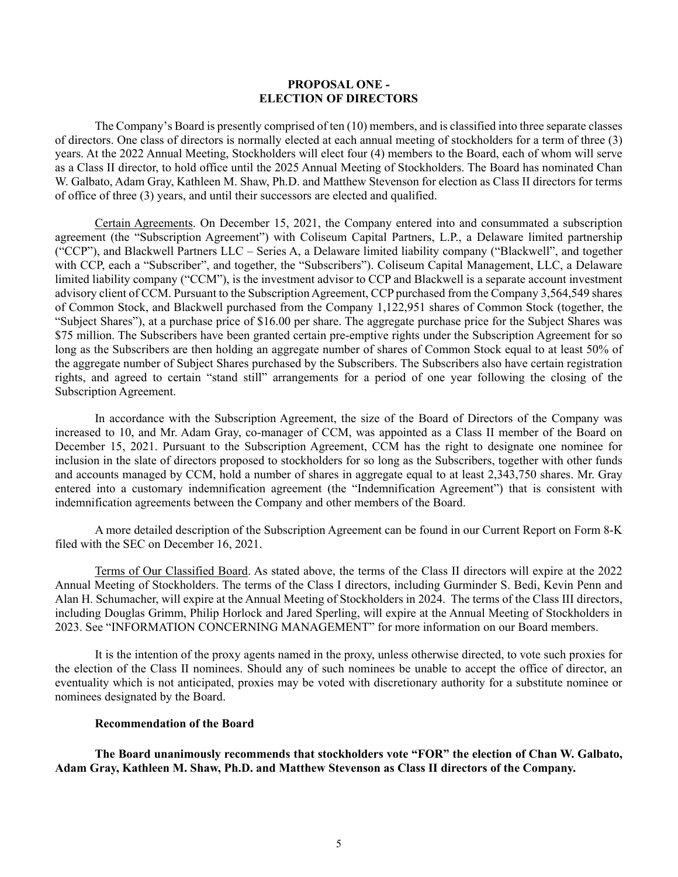#### **PROPOSAL ONE - ELECTION OF DIRECTORS**

The Company's Board is presently comprised of ten (10) members, and is classified into three separate classes of directors. One class of directors is normally elected at each annual meeting of stockholders for a term of three (3) years. At the 2022 Annual Meeting, Stockholders will elect four (4) members to the Board, each of whom will serve as a Class II director, to hold office until the 2025 Annual Meeting of Stockholders. The Board has nominated Chan W. Galbato, Adam Gray, Kathleen M. Shaw, Ph.D. and Matthew Stevenson for election as Class II directors for terms of office of three (3) years, and until their successors are elected and qualified.

Certain Agreements. On December 15, 2021, the Company entered into and consummated a subscription agreement (the "Subscription Agreement") with Coliseum Capital Partners, L.P., a Delaware limited partnership ("CCP"), and Blackwell Partners LLC – Series A, a Delaware limited liability company ("Blackwell", and together with CCP, each a "Subscriber", and together, the "Subscribers"). Coliseum Capital Management, LLC, a Delaware limited liability company ("CCM"), is the investment advisor to CCP and Blackwell is a separate account investment advisory client of CCM. Pursuant to the Subscription Agreement, CCP purchased from the Company 3,564,549 shares of Common Stock, and Blackwell purchased from the Company 1,122,951 shares of Common Stock (together, the "Subject Shares"), at a purchase price of \$16.00 per share. The aggregate purchase price for the Subject Shares was \$75 million. The Subscribers have been granted certain pre-emptive rights under the Subscription Agreement for so long as the Subscribers are then holding an aggregate number of shares of Common Stock equal to at least 50% of the aggregate number of Subject Shares purchased by the Subscribers. The Subscribers also have certain registration rights, and agreed to certain "stand still" arrangements for a period of one year following the closing of the Subscription Agreement.

In accordance with the Subscription Agreement, the size of the Board of Directors of the Company was increased to 10, and Mr. Adam Gray, co-manager of CCM, was appointed as a Class II member of the Board on December 15, 2021. Pursuant to the Subscription Agreement, CCM has the right to designate one nominee for inclusion in the slate of directors proposed to stockholders for so long as the Subscribers, together with other funds and accounts managed by CCM, hold a number of shares in aggregate equal to at least 2,343,750 shares. Mr. Gray entered into a customary indemnification agreement (the "Indemnification Agreement") that is consistent with indemnification agreements between the Company and other members of the Board.

A more detailed description of the Subscription Agreement can be found in our Current Report on Form 8-K filed with the SEC on December 16, 2021.

Terms of Our Classified Board. As stated above, the terms of the Class II directors will expire at the 2022 Annual Meeting of Stockholders. The terms of the Class I directors, including Gurminder S. Bedi, Kevin Penn and Alan H. Schumacher, will expire at the Annual Meeting of Stockholders in 2024. The terms of the Class III directors, including Douglas Grimm, Philip Horlock and Jared Sperling, will expire at the Annual Meeting of Stockholders in 2023. See "INFORMATION CONCERNING MANAGEMENT" for more information on our Board members.

It is the intention of the proxy agents named in the proxy, unless otherwise directed, to vote such proxies for the election of the Class II nominees. Should any of such nominees be unable to accept the office of director, an eventuality which is not anticipated, proxies may be voted with discretionary authority for a substitute nominee or nominees designated by the Board.

#### **Recommendation of the Board**

**The Board unanimously recommends that stockholders vote "FOR" the election of Chan W. Galbato, Adam Gray, Kathleen M. Shaw, Ph.D. and Matthew Stevenson as Class II directors of the Company.**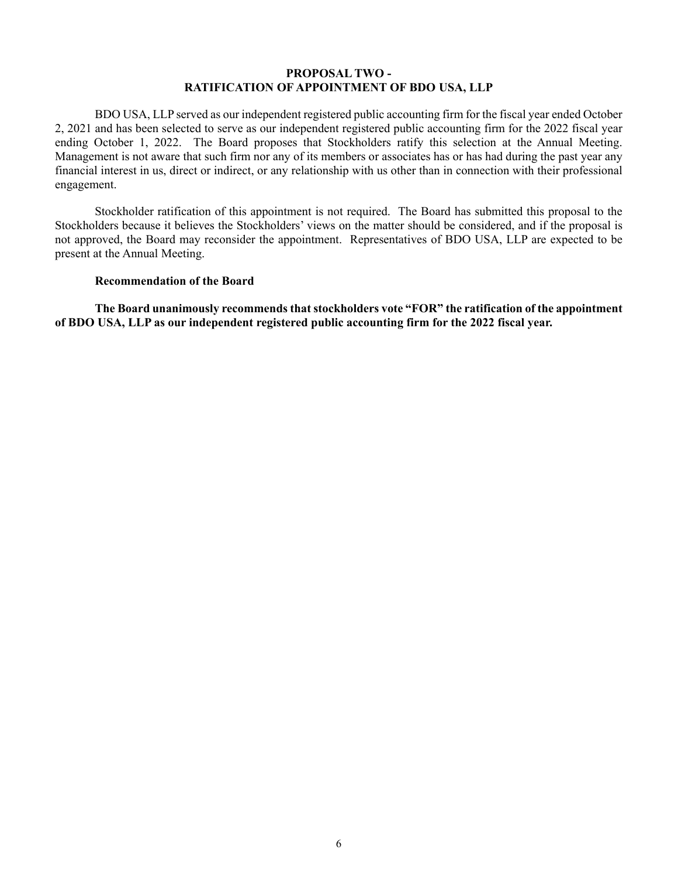## **PROPOSAL TWO - RATIFICATION OF APPOINTMENT OF BDO USA, LLP**

BDO USA, LLP served as our independent registered public accounting firm for the fiscal year ended October 2, 2021 and has been selected to serve as our independent registered public accounting firm for the 2022 fiscal year ending October 1, 2022. The Board proposes that Stockholders ratify this selection at the Annual Meeting. Management is not aware that such firm nor any of its members or associates has or has had during the past year any financial interest in us, direct or indirect, or any relationship with us other than in connection with their professional engagement.

Stockholder ratification of this appointment is not required. The Board has submitted this proposal to the Stockholders because it believes the Stockholders' views on the matter should be considered, and if the proposal is not approved, the Board may reconsider the appointment. Representatives of BDO USA, LLP are expected to be present at the Annual Meeting.

### **Recommendation of the Board**

**The Board unanimously recommends that stockholders vote "FOR" the ratification of the appointment of BDO USA, LLP as our independent registered public accounting firm for the 2022 fiscal year.**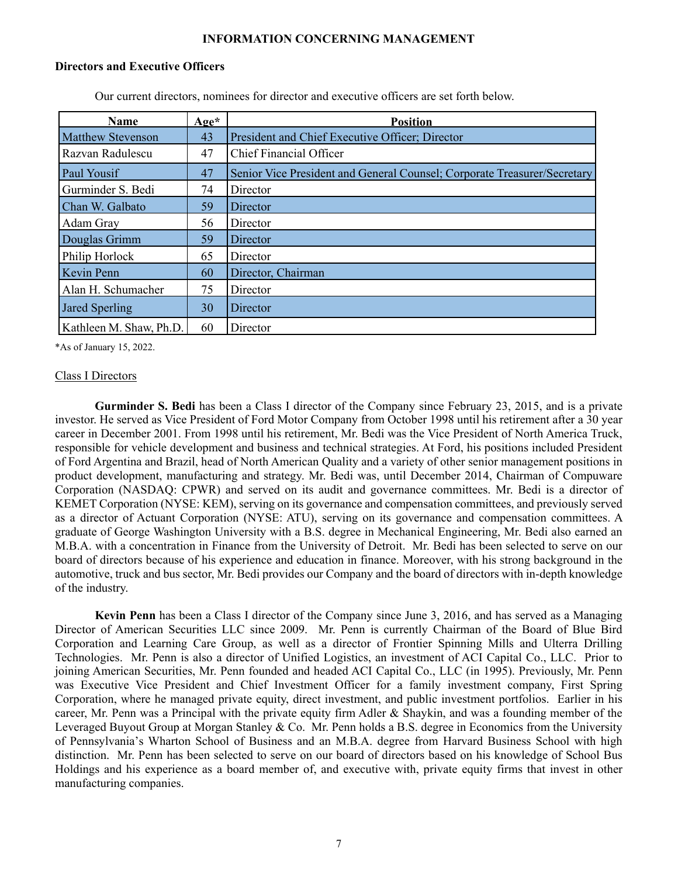## **INFORMATION CONCERNING MANAGEMENT**

## **Directors and Executive Officers**

| Name                     | $A\mathbf{ge}^*$ | <b>Position</b>                                                          |
|--------------------------|------------------|--------------------------------------------------------------------------|
| <b>Matthew Stevenson</b> | 43               | President and Chief Executive Officer; Director                          |
| Razvan Radulescu         | 47               | <b>Chief Financial Officer</b>                                           |
| Paul Yousif              | 47               | Senior Vice President and General Counsel; Corporate Treasurer/Secretary |
| Gurminder S. Bedi        | 74               | Director                                                                 |
| Chan W. Galbato          | 59               | <b>Director</b>                                                          |
| Adam Gray                | 56               | Director                                                                 |
| Douglas Grimm            | 59               | Director                                                                 |
| Philip Horlock           | 65               | Director                                                                 |
| <b>Kevin Penn</b>        | 60               | Director, Chairman                                                       |
| Alan H. Schumacher       | 75               | Director                                                                 |
| Jared Sperling           | 30               | Director                                                                 |
| Kathleen M. Shaw, Ph.D.  | 60               | Director                                                                 |

Our current directors, nominees for director and executive officers are set forth below.

\*As of January 15, 2022.

#### Class I Directors

**Gurminder S. Bedi** has been a Class I director of the Company since February 23, 2015, and is a private investor. He served as Vice President of Ford Motor Company from October 1998 until his retirement after a 30 year career in December 2001. From 1998 until his retirement, Mr. Bedi was the Vice President of North America Truck, responsible for vehicle development and business and technical strategies. At Ford, his positions included President of Ford Argentina and Brazil, head of North American Quality and a variety of other senior management positions in product development, manufacturing and strategy. Mr. Bedi was, until December 2014, Chairman of Compuware Corporation (NASDAQ: CPWR) and served on its audit and governance committees. Mr. Bedi is a director of KEMET Corporation (NYSE: KEM), serving on its governance and compensation committees, and previously served as a director of Actuant Corporation (NYSE: ATU), serving on its governance and compensation committees. A graduate of George Washington University with a B.S. degree in Mechanical Engineering, Mr. Bedi also earned an M.B.A. with a concentration in Finance from the University of Detroit. Mr. Bedi has been selected to serve on our board of directors because of his experience and education in finance. Moreover, with his strong background in the automotive, truck and bus sector, Mr. Bedi provides our Company and the board of directors with in-depth knowledge of the industry.

**Kevin Penn** has been a Class I director of the Company since June 3, 2016, and has served as a Managing Director of American Securities LLC since 2009. Mr. Penn is currently Chairman of the Board of Blue Bird Corporation and Learning Care Group, as well as a director of Frontier Spinning Mills and Ulterra Drilling Technologies. Mr. Penn is also a director of Unified Logistics, an investment of ACI Capital Co., LLC. Prior to joining American Securities, Mr. Penn founded and headed ACI Capital Co., LLC (in 1995). Previously, Mr. Penn was Executive Vice President and Chief Investment Officer for a family investment company, First Spring Corporation, where he managed private equity, direct investment, and public investment portfolios. Earlier in his career, Mr. Penn was a Principal with the private equity firm Adler & Shaykin, and was a founding member of the Leveraged Buyout Group at Morgan Stanley & Co. Mr. Penn holds a B.S. degree in Economics from the University of Pennsylvania's Wharton School of Business and an M.B.A. degree from Harvard Business School with high distinction. Mr. Penn has been selected to serve on our board of directors based on his knowledge of School Bus Holdings and his experience as a board member of, and executive with, private equity firms that invest in other manufacturing companies.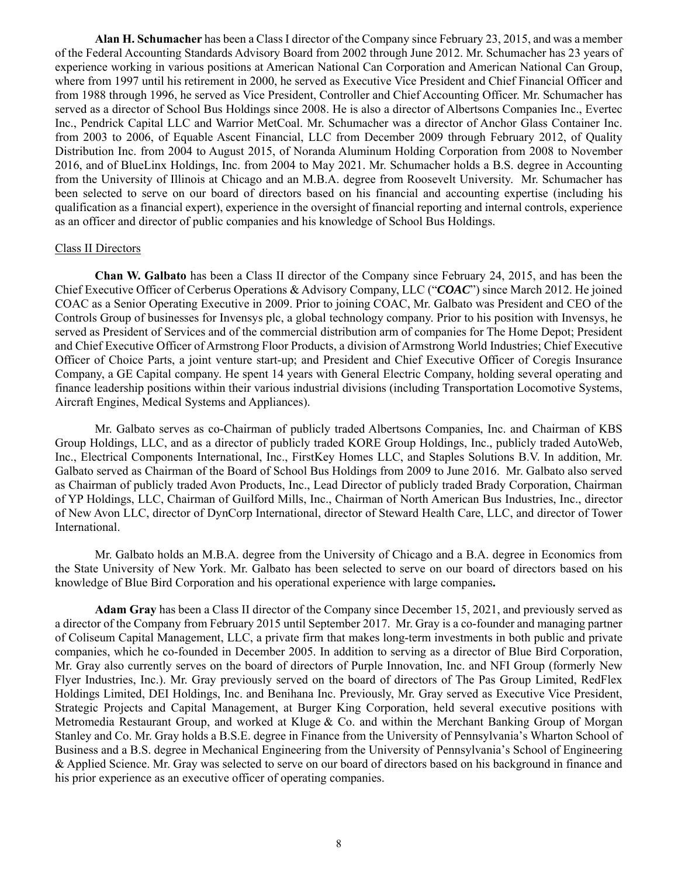**Alan H. Schumacher** has been a Class I director of the Company since February 23, 2015, and was a member of the Federal Accounting Standards Advisory Board from 2002 through June 2012. Mr. Schumacher has 23 years of experience working in various positions at American National Can Corporation and American National Can Group, where from 1997 until his retirement in 2000, he served as Executive Vice President and Chief Financial Officer and from 1988 through 1996, he served as Vice President, Controller and Chief Accounting Officer. Mr. Schumacher has served as a director of School Bus Holdings since 2008. He is also a director of Albertsons Companies Inc., Evertec Inc., Pendrick Capital LLC and Warrior MetCoal. Mr. Schumacher was a director of Anchor Glass Container Inc. from 2003 to 2006, of Equable Ascent Financial, LLC from December 2009 through February 2012, of Quality Distribution Inc. from 2004 to August 2015, of Noranda Aluminum Holding Corporation from 2008 to November 2016, and of BlueLinx Holdings, Inc. from 2004 to May 2021. Mr. Schumacher holds a B.S. degree in Accounting from the University of Illinois at Chicago and an M.B.A. degree from Roosevelt University. Mr. Schumacher has been selected to serve on our board of directors based on his financial and accounting expertise (including his qualification as a financial expert), experience in the oversight of financial reporting and internal controls, experience as an officer and director of public companies and his knowledge of School Bus Holdings.

#### Class II Directors

**Chan W. Galbato** has been a Class II director of the Company since February 24, 2015, and has been the Chief Executive Officer of Cerberus Operations & Advisory Company, LLC ("*COAC*") since March 2012. He joined COAC as a Senior Operating Executive in 2009. Prior to joining COAC, Mr. Galbato was President and CEO of the Controls Group of businesses for Invensys plc, a global technology company. Prior to his position with Invensys, he served as President of Services and of the commercial distribution arm of companies for The Home Depot; President and Chief Executive Officer of Armstrong Floor Products, a division of Armstrong World Industries; Chief Executive Officer of Choice Parts, a joint venture start-up; and President and Chief Executive Officer of Coregis Insurance Company, a GE Capital company. He spent 14 years with General Electric Company, holding several operating and finance leadership positions within their various industrial divisions (including Transportation Locomotive Systems, Aircraft Engines, Medical Systems and Appliances).

Mr. Galbato serves as co-Chairman of publicly traded Albertsons Companies, Inc. and Chairman of KBS Group Holdings, LLC, and as a director of publicly traded KORE Group Holdings, Inc., publicly traded AutoWeb, Inc., Electrical Components International, Inc., FirstKey Homes LLC, and Staples Solutions B.V. In addition, Mr. Galbato served as Chairman of the Board of School Bus Holdings from 2009 to June 2016. Mr. Galbato also served as Chairman of publicly traded Avon Products, Inc., Lead Director of publicly traded Brady Corporation, Chairman of YP Holdings, LLC, Chairman of Guilford Mills, Inc., Chairman of North American Bus Industries, Inc., director of New Avon LLC, director of DynCorp International, director of Steward Health Care, LLC, and director of Tower International.

Mr. Galbato holds an M.B.A. degree from the University of Chicago and a B.A. degree in Economics from the State University of New York. Mr. Galbato has been selected to serve on our board of directors based on his knowledge of Blue Bird Corporation and his operational experience with large companies**.** 

**Adam Gray** has been a Class II director of the Company since December 15, 2021, and previously served as a director of the Company from February 2015 until September 2017. Mr. Gray is a co-founder and managing partner of Coliseum Capital Management, LLC, a private firm that makes long-term investments in both public and private companies, which he co-founded in December 2005. In addition to serving as a director of Blue Bird Corporation, Mr. Gray also currently serves on the board of directors of Purple Innovation, Inc. and NFI Group (formerly New Flyer Industries, Inc.). Mr. Gray previously served on the board of directors of The Pas Group Limited, RedFlex Holdings Limited, DEI Holdings, Inc. and Benihana Inc. Previously, Mr. Gray served as Executive Vice President, Strategic Projects and Capital Management, at Burger King Corporation, held several executive positions with Metromedia Restaurant Group, and worked at Kluge & Co. and within the Merchant Banking Group of Morgan Stanley and Co. Mr. Gray holds a B.S.E. degree in Finance from the University of Pennsylvania's Wharton School of Business and a B.S. degree in Mechanical Engineering from the University of Pennsylvania's School of Engineering & Applied Science. Mr. Gray was selected to serve on our board of directors based on his background in finance and his prior experience as an executive officer of operating companies.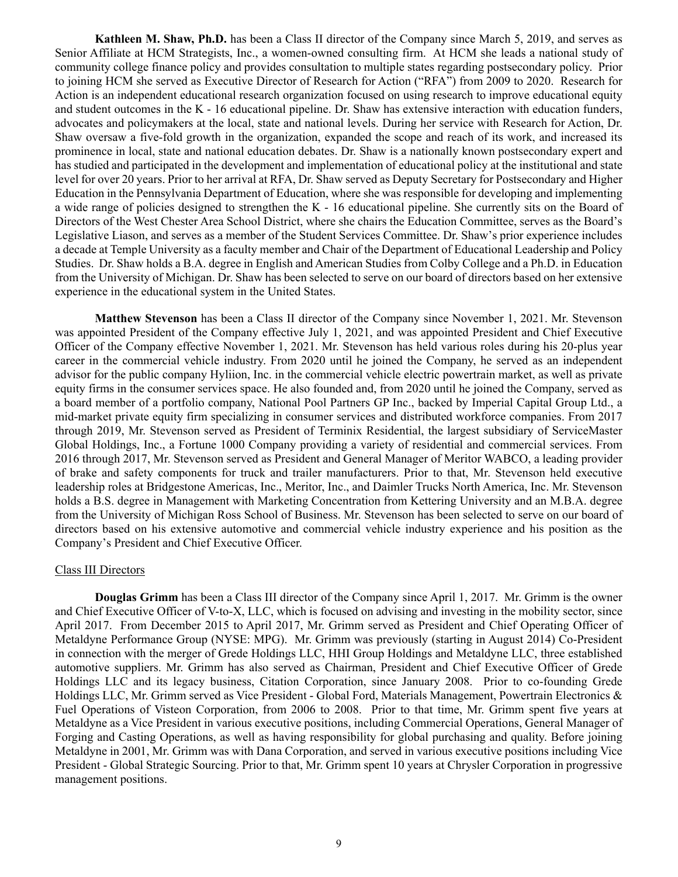**Kathleen M. Shaw, Ph.D.** has been a Class II director of the Company since March 5, 2019, and serves as Senior Affiliate at HCM Strategists, Inc., a women-owned consulting firm. At HCM she leads a national study of community college finance policy and provides consultation to multiple states regarding postsecondary policy. Prior to joining HCM she served as Executive Director of Research for Action ("RFA") from 2009 to 2020. Research for Action is an independent educational research organization focused on using research to improve educational equity and student outcomes in the K - 16 educational pipeline. Dr. Shaw has extensive interaction with education funders, advocates and policymakers at the local, state and national levels. During her service with Research for Action, Dr. Shaw oversaw a five-fold growth in the organization, expanded the scope and reach of its work, and increased its prominence in local, state and national education debates. Dr. Shaw is a nationally known postsecondary expert and has studied and participated in the development and implementation of educational policy at the institutional and state level for over 20 years. Prior to her arrival at RFA, Dr. Shaw served as Deputy Secretary for Postsecondary and Higher Education in the Pennsylvania Department of Education, where she was responsible for developing and implementing a wide range of policies designed to strengthen the K - 16 educational pipeline. She currently sits on the Board of Directors of the West Chester Area School District, where she chairs the Education Committee, serves as the Board's Legislative Liason, and serves as a member of the Student Services Committee. Dr. Shaw's prior experience includes a decade at Temple University as a faculty member and Chair of the Department of Educational Leadership and Policy Studies. Dr. Shaw holds a B.A. degree in English and American Studies from Colby College and a Ph.D. in Education from the University of Michigan. Dr. Shaw has been selected to serve on our board of directors based on her extensive experience in the educational system in the United States.

**Matthew Stevenson** has been a Class II director of the Company since November 1, 2021. Mr. Stevenson was appointed President of the Company effective July 1, 2021, and was appointed President and Chief Executive Officer of the Company effective November 1, 2021. Mr. Stevenson has held various roles during his 20-plus year career in the commercial vehicle industry. From 2020 until he joined the Company, he served as an independent advisor for the public company Hyliion, Inc. in the commercial vehicle electric powertrain market, as well as private equity firms in the consumer services space. He also founded and, from 2020 until he joined the Company, served as a board member of a portfolio company, National Pool Partners GP Inc., backed by Imperial Capital Group Ltd., a mid-market private equity firm specializing in consumer services and distributed workforce companies. From 2017 through 2019, Mr. Stevenson served as President of Terminix Residential, the largest subsidiary of ServiceMaster Global Holdings, Inc., a Fortune 1000 Company providing a variety of residential and commercial services. From 2016 through 2017, Mr. Stevenson served as President and General Manager of Meritor WABCO, a leading provider of brake and safety components for truck and trailer manufacturers. Prior to that, Mr. Stevenson held executive leadership roles at Bridgestone Americas, Inc., Meritor, Inc., and Daimler Trucks North America, Inc. Mr. Stevenson holds a B.S. degree in Management with Marketing Concentration from Kettering University and an M.B.A. degree from the University of Michigan Ross School of Business. Mr. Stevenson has been selected to serve on our board of directors based on his extensive automotive and commercial vehicle industry experience and his position as the Company's President and Chief Executive Officer.

#### Class III Directors

**Douglas Grimm** has been a Class III director of the Company since April 1, 2017. Mr. Grimm is the owner and Chief Executive Officer of V-to-X, LLC, which is focused on advising and investing in the mobility sector, since April 2017. From December 2015 to April 2017, Mr. Grimm served as President and Chief Operating Officer of Metaldyne Performance Group (NYSE: MPG). Mr. Grimm was previously (starting in August 2014) Co-President in connection with the merger of Grede Holdings LLC, HHI Group Holdings and Metaldyne LLC, three established automotive suppliers. Mr. Grimm has also served as Chairman, President and Chief Executive Officer of Grede Holdings LLC and its legacy business, Citation Corporation, since January 2008. Prior to co-founding Grede Holdings LLC, Mr. Grimm served as Vice President - Global Ford, Materials Management, Powertrain Electronics & Fuel Operations of Visteon Corporation, from 2006 to 2008. Prior to that time, Mr. Grimm spent five years at Metaldyne as a Vice President in various executive positions, including Commercial Operations, General Manager of Forging and Casting Operations, as well as having responsibility for global purchasing and quality. Before joining Metaldyne in 2001, Mr. Grimm was with Dana Corporation, and served in various executive positions including Vice President - Global Strategic Sourcing. Prior to that, Mr. Grimm spent 10 years at Chrysler Corporation in progressive management positions.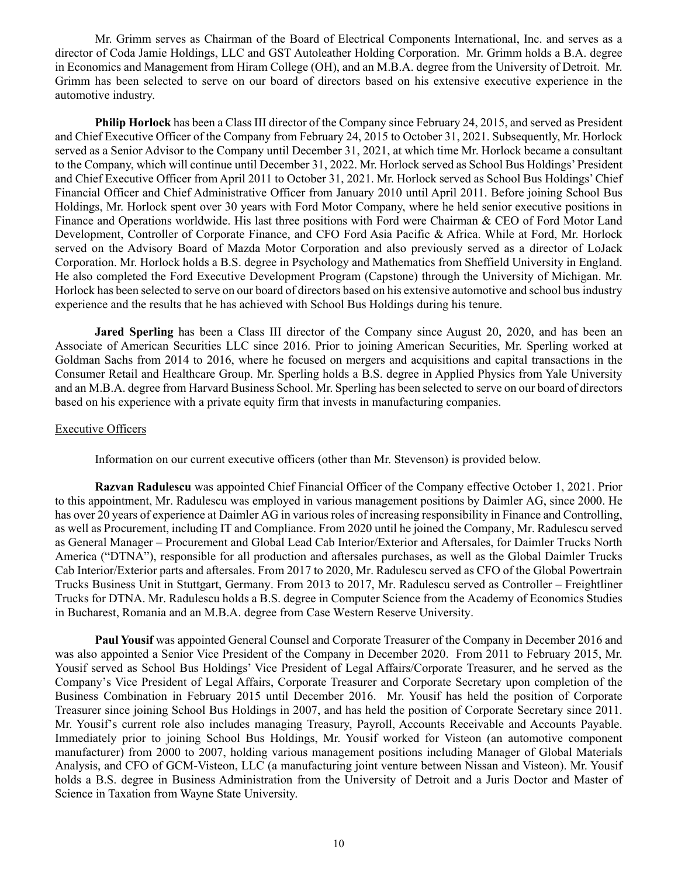Mr. Grimm serves as Chairman of the Board of Electrical Components International, Inc. and serves as a director of Coda Jamie Holdings, LLC and GST Autoleather Holding Corporation. Mr. Grimm holds a B.A. degree in Economics and Management from Hiram College (OH), and an M.B.A. degree from the University of Detroit. Mr. Grimm has been selected to serve on our board of directors based on his extensive executive experience in the automotive industry.

**Philip Horlock** has been a Class III director of the Company since February 24, 2015, and served as President and Chief Executive Officer of the Company from February 24, 2015 to October 31, 2021. Subsequently, Mr. Horlock served as a Senior Advisor to the Company until December 31, 2021, at which time Mr. Horlock became a consultant to the Company, which will continue until December 31, 2022. Mr. Horlock served as School Bus Holdings' President and Chief Executive Officer from April 2011 to October 31, 2021. Mr. Horlock served as School Bus Holdings' Chief Financial Officer and Chief Administrative Officer from January 2010 until April 2011. Before joining School Bus Holdings, Mr. Horlock spent over 30 years with Ford Motor Company, where he held senior executive positions in Finance and Operations worldwide. His last three positions with Ford were Chairman & CEO of Ford Motor Land Development, Controller of Corporate Finance, and CFO Ford Asia Pacific & Africa. While at Ford, Mr. Horlock served on the Advisory Board of Mazda Motor Corporation and also previously served as a director of LoJack Corporation. Mr. Horlock holds a B.S. degree in Psychology and Mathematics from Sheffield University in England. He also completed the Ford Executive Development Program (Capstone) through the University of Michigan. Mr. Horlock has been selected to serve on our board of directors based on his extensive automotive and school bus industry experience and the results that he has achieved with School Bus Holdings during his tenure.

**Jared Sperling** has been a Class III director of the Company since August 20, 2020, and has been an Associate of American Securities LLC since 2016. Prior to joining American Securities, Mr. Sperling worked at Goldman Sachs from 2014 to 2016, where he focused on mergers and acquisitions and capital transactions in the Consumer Retail and Healthcare Group. Mr. Sperling holds a B.S. degree in Applied Physics from Yale University and an M.B.A. degree from Harvard Business School. Mr. Sperling has been selected to serve on our board of directors based on his experience with a private equity firm that invests in manufacturing companies.

#### Executive Officers

Information on our current executive officers (other than Mr. Stevenson) is provided below.

**Razvan Radulescu** was appointed Chief Financial Officer of the Company effective October 1, 2021. Prior to this appointment, Mr. Radulescu was employed in various management positions by Daimler AG, since 2000. He has over 20 years of experience at Daimler AG in various roles of increasing responsibility in Finance and Controlling, as well as Procurement, including IT and Compliance. From 2020 until he joined the Company, Mr. Radulescu served as General Manager – Procurement and Global Lead Cab Interior/Exterior and Aftersales, for Daimler Trucks North America ("DTNA"), responsible for all production and aftersales purchases, as well as the Global Daimler Trucks Cab Interior/Exterior parts and aftersales. From 2017 to 2020, Mr. Radulescu served as CFO of the Global Powertrain Trucks Business Unit in Stuttgart, Germany. From 2013 to 2017, Mr. Radulescu served as Controller – Freightliner Trucks for DTNA. Mr. Radulescu holds a B.S. degree in Computer Science from the Academy of Economics Studies in Bucharest, Romania and an M.B.A. degree from Case Western Reserve University.

**Paul Yousif** was appointed General Counsel and Corporate Treasurer of the Company in December 2016 and was also appointed a Senior Vice President of the Company in December 2020. From 2011 to February 2015, Mr. Yousif served as School Bus Holdings' Vice President of Legal Affairs/Corporate Treasurer, and he served as the Company's Vice President of Legal Affairs, Corporate Treasurer and Corporate Secretary upon completion of the Business Combination in February 2015 until December 2016. Mr. Yousif has held the position of Corporate Treasurer since joining School Bus Holdings in 2007, and has held the position of Corporate Secretary since 2011. Mr. Yousif's current role also includes managing Treasury, Payroll, Accounts Receivable and Accounts Payable. Immediately prior to joining School Bus Holdings, Mr. Yousif worked for Visteon (an automotive component manufacturer) from 2000 to 2007, holding various management positions including Manager of Global Materials Analysis, and CFO of GCM-Visteon, LLC (a manufacturing joint venture between Nissan and Visteon). Mr. Yousif holds a B.S. degree in Business Administration from the University of Detroit and a Juris Doctor and Master of Science in Taxation from Wayne State University.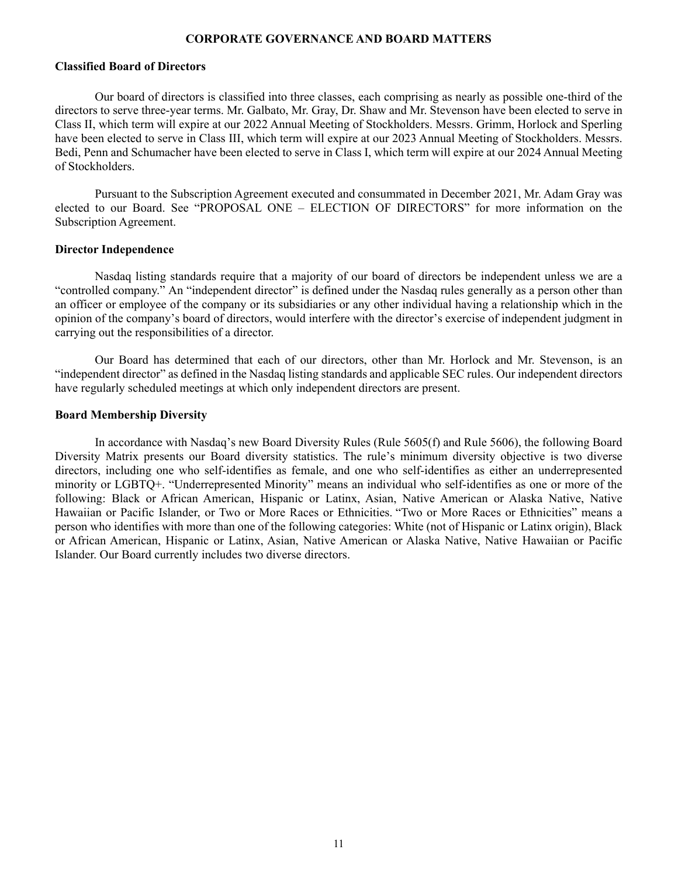## **CORPORATE GOVERNANCE AND BOARD MATTERS**

#### **Classified Board of Directors**

Our board of directors is classified into three classes, each comprising as nearly as possible one-third of the directors to serve three-year terms. Mr. Galbato, Mr. Gray, Dr. Shaw and Mr. Stevenson have been elected to serve in Class II, which term will expire at our 2022 Annual Meeting of Stockholders. Messrs. Grimm, Horlock and Sperling have been elected to serve in Class III, which term will expire at our 2023 Annual Meeting of Stockholders. Messrs. Bedi, Penn and Schumacher have been elected to serve in Class I, which term will expire at our 2024 Annual Meeting of Stockholders.

Pursuant to the Subscription Agreement executed and consummated in December 2021, Mr. Adam Gray was elected to our Board. See "PROPOSAL ONE – ELECTION OF DIRECTORS" for more information on the Subscription Agreement.

#### **Director Independence**

Nasdaq listing standards require that a majority of our board of directors be independent unless we are a "controlled company." An "independent director" is defined under the Nasdaq rules generally as a person other than an officer or employee of the company or its subsidiaries or any other individual having a relationship which in the opinion of the company's board of directors, would interfere with the director's exercise of independent judgment in carrying out the responsibilities of a director.

Our Board has determined that each of our directors, other than Mr. Horlock and Mr. Stevenson, is an "independent director" as defined in the Nasdaq listing standards and applicable SEC rules. Our independent directors have regularly scheduled meetings at which only independent directors are present.

#### **Board Membership Diversity**

In accordance with Nasdaq's new Board Diversity Rules (Rule 5605(f) and Rule 5606), the following Board Diversity Matrix presents our Board diversity statistics. The rule's minimum diversity objective is two diverse directors, including one who self-identifies as female, and one who self-identifies as either an underrepresented minority or LGBTQ+. "Underrepresented Minority" means an individual who self-identifies as one or more of the following: Black or African American, Hispanic or Latinx, Asian, Native American or Alaska Native, Native Hawaiian or Pacific Islander, or Two or More Races or Ethnicities. "Two or More Races or Ethnicities" means a person who identifies with more than one of the following categories: White (not of Hispanic or Latinx origin), Black or African American, Hispanic or Latinx, Asian, Native American or Alaska Native, Native Hawaiian or Pacific Islander. Our Board currently includes two diverse directors.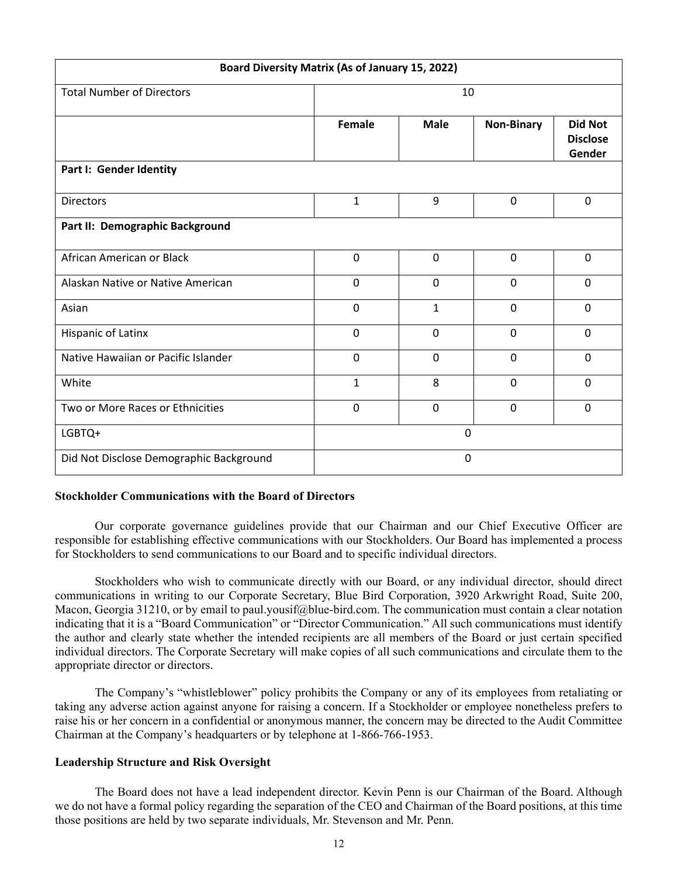| <b>Board Diversity Matrix (As of January 15, 2022)</b> |              |             |                   |                                             |  |  |
|--------------------------------------------------------|--------------|-------------|-------------------|---------------------------------------------|--|--|
| <b>Total Number of Directors</b>                       |              | 10          |                   |                                             |  |  |
|                                                        | Female       | <b>Male</b> | <b>Non-Binary</b> | <b>Did Not</b><br><b>Disclose</b><br>Gender |  |  |
| Part I: Gender Identity                                |              |             |                   |                                             |  |  |
| <b>Directors</b>                                       | $\mathbf{1}$ | 9           | $\mathbf 0$       | $\mathbf 0$                                 |  |  |
| Part II: Demographic Background                        |              |             |                   |                                             |  |  |
| African American or Black                              | $\mathbf 0$  | $\mathbf 0$ | $\mathbf 0$       | $\mathbf 0$                                 |  |  |
| Alaskan Native or Native American                      | $\mathbf 0$  | $\mathbf 0$ | $\mathbf 0$       | 0                                           |  |  |
| Asian                                                  | $\mathbf 0$  | 1           | $\mathbf 0$       | 0                                           |  |  |
| Hispanic of Latinx                                     | 0            | $\mathbf 0$ | $\mathbf 0$       | 0                                           |  |  |
| Native Hawaiian or Pacific Islander                    | 0            | $\mathbf 0$ | $\mathbf 0$       | 0                                           |  |  |
| White                                                  | $\mathbf{1}$ | 8           | $\mathbf 0$       | 0                                           |  |  |
| Two or More Races or Ethnicities                       | 0            | $\mathbf 0$ | $\mathbf 0$       | 0                                           |  |  |
| LGBTQ+                                                 |              | $\mathbf 0$ |                   |                                             |  |  |
| Did Not Disclose Demographic Background                |              | 0           |                   |                                             |  |  |

## **Stockholder Communications with the Board of Directors**

Our corporate governance guidelines provide that our Chairman and our Chief Executive Officer are responsible for establishing effective communications with our Stockholders. Our Board has implemented a process for Stockholders to send communications to our Board and to specific individual directors.

Stockholders who wish to communicate directly with our Board, or any individual director, should direct communications in writing to our Corporate Secretary, Blue Bird Corporation, 3920 Arkwright Road, Suite 200, Macon, Georgia 31210, or by email to paul.yousif@blue-bird.com. The communication must contain a clear notation indicating that it is a "Board Communication" or "Director Communication." All such communications must identify the author and clearly state whether the intended recipients are all members of the Board or just certain specified individual directors. The Corporate Secretary will make copies of all such communications and circulate them to the appropriate director or directors.

The Company's "whistleblower" policy prohibits the Company or any of its employees from retaliating or taking any adverse action against anyone for raising a concern. If a Stockholder or employee nonetheless prefers to raise his or her concern in a confidential or anonymous manner, the concern may be directed to the Audit Committee Chairman at the Company's headquarters or by telephone at 1-866-766-1953.

# **Leadership Structure and Risk Oversight**

The Board does not have a lead independent director. Kevin Penn is our Chairman of the Board. Although we do not have a formal policy regarding the separation of the CEO and Chairman of the Board positions, at this time those positions are held by two separate individuals, Mr. Stevenson and Mr. Penn.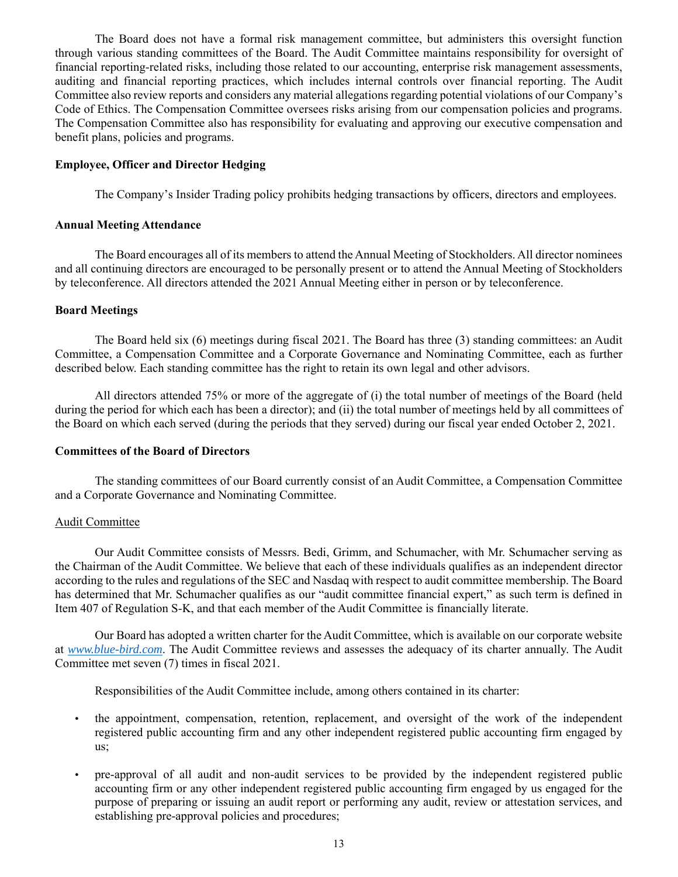The Board does not have a formal risk management committee, but administers this oversight function through various standing committees of the Board. The Audit Committee maintains responsibility for oversight of financial reporting-related risks, including those related to our accounting, enterprise risk management assessments, auditing and financial reporting practices, which includes internal controls over financial reporting. The Audit Committee also review reports and considers any material allegations regarding potential violations of our Company's Code of Ethics. The Compensation Committee oversees risks arising from our compensation policies and programs. The Compensation Committee also has responsibility for evaluating and approving our executive compensation and benefit plans, policies and programs.

# **Employee, Officer and Director Hedging**

The Company's Insider Trading policy prohibits hedging transactions by officers, directors and employees.

## **Annual Meeting Attendance**

The Board encourages all of its members to attend the Annual Meeting of Stockholders. All director nominees and all continuing directors are encouraged to be personally present or to attend the Annual Meeting of Stockholders by teleconference. All directors attended the 2021 Annual Meeting either in person or by teleconference.

## **Board Meetings**

The Board held six (6) meetings during fiscal 2021. The Board has three (3) standing committees: an Audit Committee, a Compensation Committee and a Corporate Governance and Nominating Committee, each as further described below. Each standing committee has the right to retain its own legal and other advisors.

All directors attended 75% or more of the aggregate of (i) the total number of meetings of the Board (held during the period for which each has been a director); and (ii) the total number of meetings held by all committees of the Board on which each served (during the periods that they served) during our fiscal year ended October 2, 2021.

# **Committees of the Board of Directors**

The standing committees of our Board currently consist of an Audit Committee, a Compensation Committee and a Corporate Governance and Nominating Committee.

#### Audit Committee

Our Audit Committee consists of Messrs. Bedi, Grimm, and Schumacher, with Mr. Schumacher serving as the Chairman of the Audit Committee. We believe that each of these individuals qualifies as an independent director according to the rules and regulations of the SEC and Nasdaq with respect to audit committee membership. The Board has determined that Mr. Schumacher qualifies as our "audit committee financial expert," as such term is defined in Item 407 of Regulation S-K, and that each member of the Audit Committee is financially literate.

Our Board has adopted a written charter for the Audit Committee, which is available on our corporate website at *www.blue-bird.com*. The Audit Committee reviews and assesses the adequacy of its charter annually. The Audit Committee met seven (7) times in fiscal 2021.

Responsibilities of the Audit Committee include, among others contained in its charter:

- the appointment, compensation, retention, replacement, and oversight of the work of the independent registered public accounting firm and any other independent registered public accounting firm engaged by us;
- pre-approval of all audit and non-audit services to be provided by the independent registered public accounting firm or any other independent registered public accounting firm engaged by us engaged for the purpose of preparing or issuing an audit report or performing any audit, review or attestation services, and establishing pre-approval policies and procedures;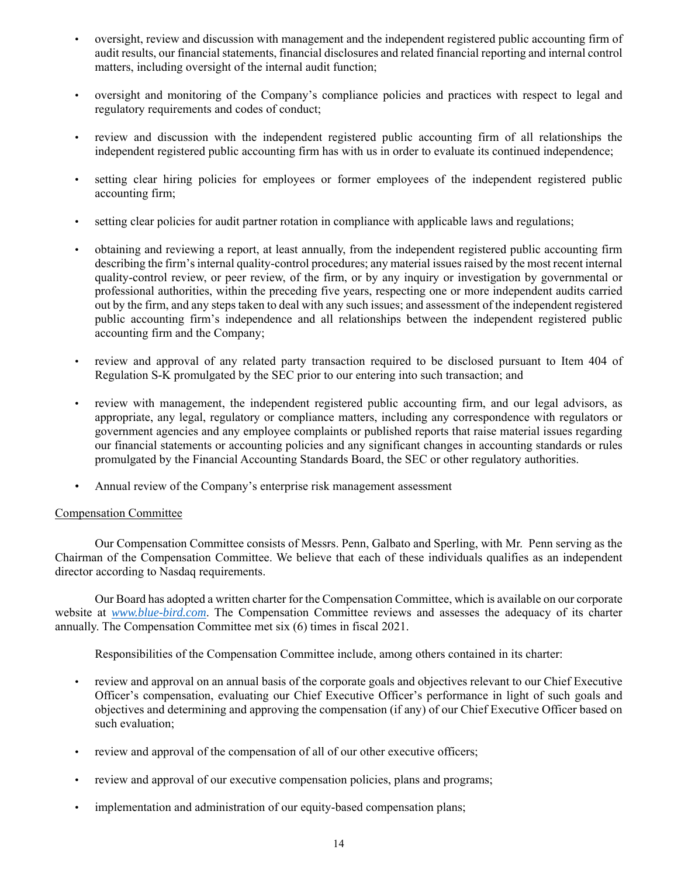- oversight, review and discussion with management and the independent registered public accounting firm of audit results, our financial statements, financial disclosures and related financial reporting and internal control matters, including oversight of the internal audit function;
- oversight and monitoring of the Company's compliance policies and practices with respect to legal and regulatory requirements and codes of conduct;
- review and discussion with the independent registered public accounting firm of all relationships the independent registered public accounting firm has with us in order to evaluate its continued independence;
- setting clear hiring policies for employees or former employees of the independent registered public accounting firm;
- setting clear policies for audit partner rotation in compliance with applicable laws and regulations;
- obtaining and reviewing a report, at least annually, from the independent registered public accounting firm describing the firm's internal quality-control procedures; any material issues raised by the most recent internal quality-control review, or peer review, of the firm, or by any inquiry or investigation by governmental or professional authorities, within the preceding five years, respecting one or more independent audits carried out by the firm, and any steps taken to deal with any such issues; and assessment of the independent registered public accounting firm's independence and all relationships between the independent registered public accounting firm and the Company;
- review and approval of any related party transaction required to be disclosed pursuant to Item 404 of Regulation S-K promulgated by the SEC prior to our entering into such transaction; and
- review with management, the independent registered public accounting firm, and our legal advisors, as appropriate, any legal, regulatory or compliance matters, including any correspondence with regulators or government agencies and any employee complaints or published reports that raise material issues regarding our financial statements or accounting policies and any significant changes in accounting standards or rules promulgated by the Financial Accounting Standards Board, the SEC or other regulatory authorities.
- Annual review of the Company's enterprise risk management assessment

# Compensation Committee

Our Compensation Committee consists of Messrs. Penn, Galbato and Sperling, with Mr. Penn serving as the Chairman of the Compensation Committee. We believe that each of these individuals qualifies as an independent director according to Nasdaq requirements.

Our Board has adopted a written charter for the Compensation Committee, which is available on our corporate website at *www.blue-bird.com*. The Compensation Committee reviews and assesses the adequacy of its charter annually. The Compensation Committee met six (6) times in fiscal 2021.

Responsibilities of the Compensation Committee include, among others contained in its charter:

- review and approval on an annual basis of the corporate goals and objectives relevant to our Chief Executive Officer's compensation, evaluating our Chief Executive Officer's performance in light of such goals and objectives and determining and approving the compensation (if any) of our Chief Executive Officer based on such evaluation;
- review and approval of the compensation of all of our other executive officers;
- review and approval of our executive compensation policies, plans and programs;
- implementation and administration of our equity-based compensation plans;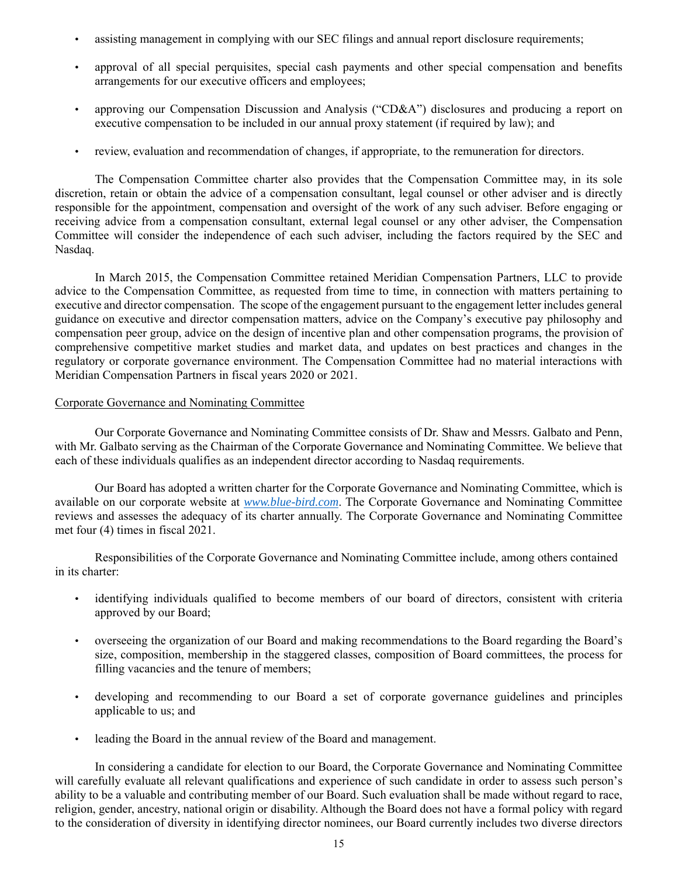- assisting management in complying with our SEC filings and annual report disclosure requirements;
- approval of all special perquisites, special cash payments and other special compensation and benefits arrangements for our executive officers and employees;
- approving our Compensation Discussion and Analysis ("CD&A") disclosures and producing a report on executive compensation to be included in our annual proxy statement (if required by law); and
- review, evaluation and recommendation of changes, if appropriate, to the remuneration for directors.

The Compensation Committee charter also provides that the Compensation Committee may, in its sole discretion, retain or obtain the advice of a compensation consultant, legal counsel or other adviser and is directly responsible for the appointment, compensation and oversight of the work of any such adviser. Before engaging or receiving advice from a compensation consultant, external legal counsel or any other adviser, the Compensation Committee will consider the independence of each such adviser, including the factors required by the SEC and Nasdaq.

In March 2015, the Compensation Committee retained Meridian Compensation Partners, LLC to provide advice to the Compensation Committee, as requested from time to time, in connection with matters pertaining to executive and director compensation. The scope of the engagement pursuant to the engagement letter includes general guidance on executive and director compensation matters, advice on the Company's executive pay philosophy and compensation peer group, advice on the design of incentive plan and other compensation programs, the provision of comprehensive competitive market studies and market data, and updates on best practices and changes in the regulatory or corporate governance environment. The Compensation Committee had no material interactions with Meridian Compensation Partners in fiscal years 2020 or 2021.

# Corporate Governance and Nominating Committee

Our Corporate Governance and Nominating Committee consists of Dr. Shaw and Messrs. Galbato and Penn, with Mr. Galbato serving as the Chairman of the Corporate Governance and Nominating Committee. We believe that each of these individuals qualifies as an independent director according to Nasdaq requirements.

Our Board has adopted a written charter for the Corporate Governance and Nominating Committee, which is available on our corporate website at *www.blue-bird.com*. The Corporate Governance and Nominating Committee reviews and assesses the adequacy of its charter annually. The Corporate Governance and Nominating Committee met four (4) times in fiscal 2021.

Responsibilities of the Corporate Governance and Nominating Committee include, among others contained in its charter:

- identifying individuals qualified to become members of our board of directors, consistent with criteria approved by our Board;
- overseeing the organization of our Board and making recommendations to the Board regarding the Board's size, composition, membership in the staggered classes, composition of Board committees, the process for filling vacancies and the tenure of members;
- developing and recommending to our Board a set of corporate governance guidelines and principles applicable to us; and
- leading the Board in the annual review of the Board and management.

In considering a candidate for election to our Board, the Corporate Governance and Nominating Committee will carefully evaluate all relevant qualifications and experience of such candidate in order to assess such person's ability to be a valuable and contributing member of our Board. Such evaluation shall be made without regard to race, religion, gender, ancestry, national origin or disability. Although the Board does not have a formal policy with regard to the consideration of diversity in identifying director nominees, our Board currently includes two diverse directors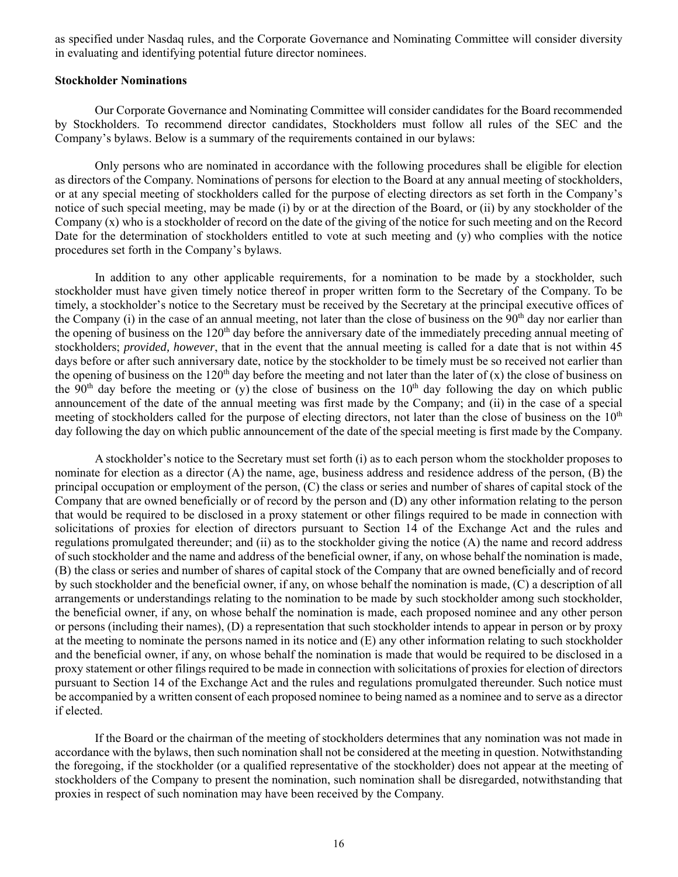as specified under Nasdaq rules, and the Corporate Governance and Nominating Committee will consider diversity in evaluating and identifying potential future director nominees.

#### **Stockholder Nominations**

Our Corporate Governance and Nominating Committee will consider candidates for the Board recommended by Stockholders. To recommend director candidates, Stockholders must follow all rules of the SEC and the Company's bylaws. Below is a summary of the requirements contained in our bylaws:

Only persons who are nominated in accordance with the following procedures shall be eligible for election as directors of the Company. Nominations of persons for election to the Board at any annual meeting of stockholders, or at any special meeting of stockholders called for the purpose of electing directors as set forth in the Company's notice of such special meeting, may be made (i) by or at the direction of the Board, or (ii) by any stockholder of the Company (x) who is a stockholder of record on the date of the giving of the notice for such meeting and on the Record Date for the determination of stockholders entitled to vote at such meeting and  $(y)$  who complies with the notice procedures set forth in the Company's bylaws.

In addition to any other applicable requirements, for a nomination to be made by a stockholder, such stockholder must have given timely notice thereof in proper written form to the Secretary of the Company. To be timely, a stockholder's notice to the Secretary must be received by the Secretary at the principal executive offices of the Company (i) in the case of an annual meeting, not later than the close of business on the  $90<sup>th</sup>$  day nor earlier than the opening of business on the  $120<sup>th</sup>$  day before the anniversary date of the immediately preceding annual meeting of stockholders; *provided, however*, that in the event that the annual meeting is called for a date that is not within 45 days before or after such anniversary date, notice by the stockholder to be timely must be so received not earlier than the opening of business on the 120<sup>th</sup> day before the meeting and not later than the later of (x) the close of business on the  $90<sup>th</sup>$  day before the meeting or (y) the close of business on the  $10<sup>th</sup>$  day following the day on which public announcement of the date of the annual meeting was first made by the Company; and (ii) in the case of a special meeting of stockholders called for the purpose of electing directors, not later than the close of business on the  $10<sup>th</sup>$ day following the day on which public announcement of the date of the special meeting is first made by the Company.

A stockholder's notice to the Secretary must set forth (i) as to each person whom the stockholder proposes to nominate for election as a director (A) the name, age, business address and residence address of the person, (B) the principal occupation or employment of the person, (C) the class or series and number of shares of capital stock of the Company that are owned beneficially or of record by the person and (D) any other information relating to the person that would be required to be disclosed in a proxy statement or other filings required to be made in connection with solicitations of proxies for election of directors pursuant to Section 14 of the Exchange Act and the rules and regulations promulgated thereunder; and (ii) as to the stockholder giving the notice (A) the name and record address of such stockholder and the name and address of the beneficial owner, if any, on whose behalf the nomination is made, (B) the class or series and number of shares of capital stock of the Company that are owned beneficially and of record by such stockholder and the beneficial owner, if any, on whose behalf the nomination is made, (C) a description of all arrangements or understandings relating to the nomination to be made by such stockholder among such stockholder, the beneficial owner, if any, on whose behalf the nomination is made, each proposed nominee and any other person or persons (including their names), (D) a representation that such stockholder intends to appear in person or by proxy at the meeting to nominate the persons named in its notice and (E) any other information relating to such stockholder and the beneficial owner, if any, on whose behalf the nomination is made that would be required to be disclosed in a proxy statement or other filings required to be made in connection with solicitations of proxies for election of directors pursuant to Section 14 of the Exchange Act and the rules and regulations promulgated thereunder. Such notice must be accompanied by a written consent of each proposed nominee to being named as a nominee and to serve as a director if elected.

If the Board or the chairman of the meeting of stockholders determines that any nomination was not made in accordance with the bylaws, then such nomination shall not be considered at the meeting in question. Notwithstanding the foregoing, if the stockholder (or a qualified representative of the stockholder) does not appear at the meeting of stockholders of the Company to present the nomination, such nomination shall be disregarded, notwithstanding that proxies in respect of such nomination may have been received by the Company.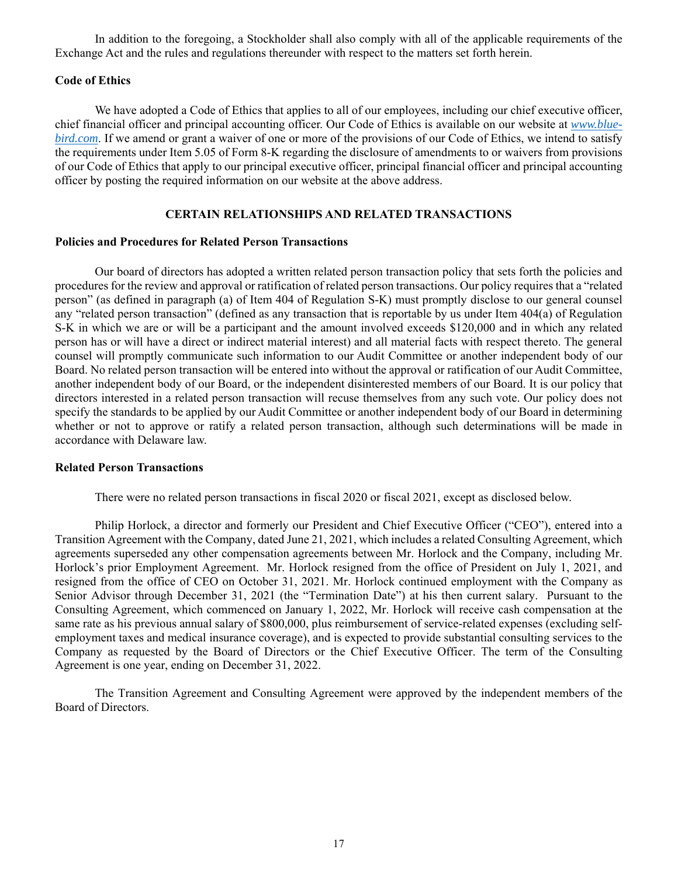In addition to the foregoing, a Stockholder shall also comply with all of the applicable requirements of the Exchange Act and the rules and regulations thereunder with respect to the matters set forth herein.

## **Code of Ethics**

We have adopted a Code of Ethics that applies to all of our employees, including our chief executive officer, chief financial officer and principal accounting officer. Our Code of Ethics is available on our website at *www.bluebird.com*. If we amend or grant a waiver of one or more of the provisions of our Code of Ethics, we intend to satisfy the requirements under Item 5.05 of Form 8-K regarding the disclosure of amendments to or waivers from provisions of our Code of Ethics that apply to our principal executive officer, principal financial officer and principal accounting officer by posting the required information on our website at the above address.

# **CERTAIN RELATIONSHIPS AND RELATED TRANSACTIONS**

#### **Policies and Procedures for Related Person Transactions**

Our board of directors has adopted a written related person transaction policy that sets forth the policies and procedures for the review and approval or ratification of related person transactions. Our policy requires that a "related person" (as defined in paragraph (a) of Item 404 of Regulation S-K) must promptly disclose to our general counsel any "related person transaction" (defined as any transaction that is reportable by us under Item 404(a) of Regulation S-K in which we are or will be a participant and the amount involved exceeds \$120,000 and in which any related person has or will have a direct or indirect material interest) and all material facts with respect thereto. The general counsel will promptly communicate such information to our Audit Committee or another independent body of our Board. No related person transaction will be entered into without the approval or ratification of our Audit Committee, another independent body of our Board, or the independent disinterested members of our Board. It is our policy that directors interested in a related person transaction will recuse themselves from any such vote. Our policy does not specify the standards to be applied by our Audit Committee or another independent body of our Board in determining whether or not to approve or ratify a related person transaction, although such determinations will be made in accordance with Delaware law.

#### **Related Person Transactions**

There were no related person transactions in fiscal 2020 or fiscal 2021, except as disclosed below.

Philip Horlock, a director and formerly our President and Chief Executive Officer ("CEO"), entered into a Transition Agreement with the Company, dated June 21, 2021, which includes a related Consulting Agreement, which agreements superseded any other compensation agreements between Mr. Horlock and the Company, including Mr. Horlock's prior Employment Agreement. Mr. Horlock resigned from the office of President on July 1, 2021, and resigned from the office of CEO on October 31, 2021. Mr. Horlock continued employment with the Company as Senior Advisor through December 31, 2021 (the "Termination Date") at his then current salary. Pursuant to the Consulting Agreement, which commenced on January 1, 2022, Mr. Horlock will receive cash compensation at the same rate as his previous annual salary of \$800,000, plus reimbursement of service-related expenses (excluding selfemployment taxes and medical insurance coverage), and is expected to provide substantial consulting services to the Company as requested by the Board of Directors or the Chief Executive Officer. The term of the Consulting Agreement is one year, ending on December 31, 2022.

The Transition Agreement and Consulting Agreement were approved by the independent members of the Board of Directors.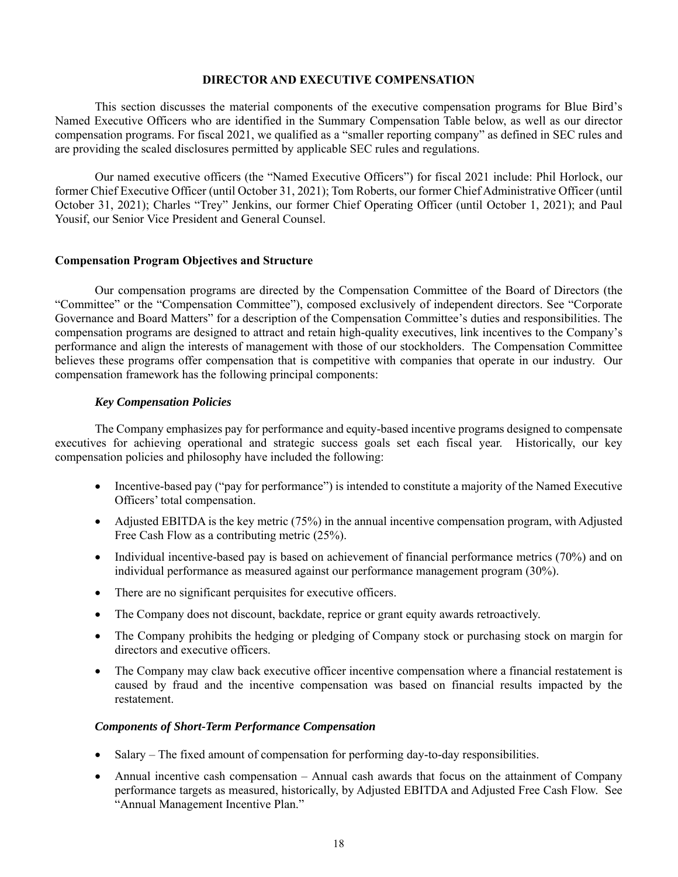#### **DIRECTOR AND EXECUTIVE COMPENSATION**

This section discusses the material components of the executive compensation programs for Blue Bird's Named Executive Officers who are identified in the Summary Compensation Table below, as well as our director compensation programs. For fiscal 2021, we qualified as a "smaller reporting company" as defined in SEC rules and are providing the scaled disclosures permitted by applicable SEC rules and regulations.

Our named executive officers (the "Named Executive Officers") for fiscal 2021 include: Phil Horlock, our former Chief Executive Officer (until October 31, 2021); Tom Roberts, our former Chief Administrative Officer (until October 31, 2021); Charles "Trey" Jenkins, our former Chief Operating Officer (until October 1, 2021); and Paul Yousif, our Senior Vice President and General Counsel.

#### **Compensation Program Objectives and Structure**

Our compensation programs are directed by the Compensation Committee of the Board of Directors (the "Committee" or the "Compensation Committee"), composed exclusively of independent directors. See "Corporate Governance and Board Matters" for a description of the Compensation Committee's duties and responsibilities. The compensation programs are designed to attract and retain high-quality executives, link incentives to the Company's performance and align the interests of management with those of our stockholders. The Compensation Committee believes these programs offer compensation that is competitive with companies that operate in our industry. Our compensation framework has the following principal components:

#### *Key Compensation Policies*

The Company emphasizes pay for performance and equity-based incentive programs designed to compensate executives for achieving operational and strategic success goals set each fiscal year. Historically, our key compensation policies and philosophy have included the following:

- Incentive-based pay ("pay for performance") is intended to constitute a majority of the Named Executive Officers' total compensation.
- Adjusted EBITDA is the key metric (75%) in the annual incentive compensation program, with Adjusted Free Cash Flow as a contributing metric (25%).
- Individual incentive-based pay is based on achievement of financial performance metrics (70%) and on individual performance as measured against our performance management program (30%).
- There are no significant perquisites for executive officers.
- The Company does not discount, backdate, reprice or grant equity awards retroactively.
- The Company prohibits the hedging or pledging of Company stock or purchasing stock on margin for directors and executive officers.
- The Company may claw back executive officer incentive compensation where a financial restatement is caused by fraud and the incentive compensation was based on financial results impacted by the restatement.

### *Components of Short-Term Performance Compensation*

- Salary The fixed amount of compensation for performing day-to-day responsibilities.
- Annual incentive cash compensation Annual cash awards that focus on the attainment of Company performance targets as measured, historically, by Adjusted EBITDA and Adjusted Free Cash Flow. See "Annual Management Incentive Plan."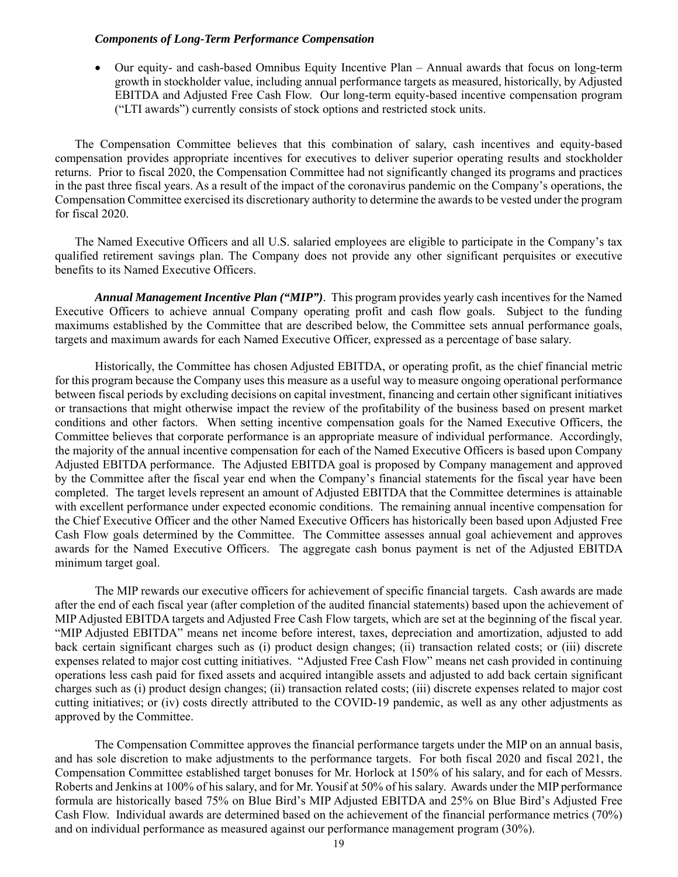#### *Components of Long-Term Performance Compensation*

 Our equity- and cash-based Omnibus Equity Incentive Plan – Annual awards that focus on long-term growth in stockholder value, including annual performance targets as measured, historically, by Adjusted EBITDA and Adjusted Free Cash Flow. Our long-term equity-based incentive compensation program ("LTI awards") currently consists of stock options and restricted stock units.

The Compensation Committee believes that this combination of salary, cash incentives and equity-based compensation provides appropriate incentives for executives to deliver superior operating results and stockholder returns. Prior to fiscal 2020, the Compensation Committee had not significantly changed its programs and practices in the past three fiscal years. As a result of the impact of the coronavirus pandemic on the Company's operations, the Compensation Committee exercised its discretionary authority to determine the awards to be vested under the program for fiscal 2020.

The Named Executive Officers and all U.S. salaried employees are eligible to participate in the Company's tax qualified retirement savings plan. The Company does not provide any other significant perquisites or executive benefits to its Named Executive Officers.

*Annual Management Incentive Plan ("MIP")*. This program provides yearly cash incentives for the Named Executive Officers to achieve annual Company operating profit and cash flow goals. Subject to the funding maximums established by the Committee that are described below, the Committee sets annual performance goals, targets and maximum awards for each Named Executive Officer, expressed as a percentage of base salary.

Historically, the Committee has chosen Adjusted EBITDA, or operating profit, as the chief financial metric for this program because the Company uses this measure as a useful way to measure ongoing operational performance between fiscal periods by excluding decisions on capital investment, financing and certain other significant initiatives or transactions that might otherwise impact the review of the profitability of the business based on present market conditions and other factors. When setting incentive compensation goals for the Named Executive Officers, the Committee believes that corporate performance is an appropriate measure of individual performance. Accordingly, the majority of the annual incentive compensation for each of the Named Executive Officers is based upon Company Adjusted EBITDA performance. The Adjusted EBITDA goal is proposed by Company management and approved by the Committee after the fiscal year end when the Company's financial statements for the fiscal year have been completed. The target levels represent an amount of Adjusted EBITDA that the Committee determines is attainable with excellent performance under expected economic conditions. The remaining annual incentive compensation for the Chief Executive Officer and the other Named Executive Officers has historically been based upon Adjusted Free Cash Flow goals determined by the Committee. The Committee assesses annual goal achievement and approves awards for the Named Executive Officers. The aggregate cash bonus payment is net of the Adjusted EBITDA minimum target goal.

The MIP rewards our executive officers for achievement of specific financial targets. Cash awards are made after the end of each fiscal year (after completion of the audited financial statements) based upon the achievement of MIP Adjusted EBITDA targets and Adjusted Free Cash Flow targets, which are set at the beginning of the fiscal year. "MIP Adjusted EBITDA" means net income before interest, taxes, depreciation and amortization, adjusted to add back certain significant charges such as (i) product design changes; (ii) transaction related costs; or (iii) discrete expenses related to major cost cutting initiatives. "Adjusted Free Cash Flow" means net cash provided in continuing operations less cash paid for fixed assets and acquired intangible assets and adjusted to add back certain significant charges such as (i) product design changes; (ii) transaction related costs; (iii) discrete expenses related to major cost cutting initiatives; or (iv) costs directly attributed to the COVID-19 pandemic, as well as any other adjustments as approved by the Committee.

The Compensation Committee approves the financial performance targets under the MIP on an annual basis, and has sole discretion to make adjustments to the performance targets. For both fiscal 2020 and fiscal 2021, the Compensation Committee established target bonuses for Mr. Horlock at 150% of his salary, and for each of Messrs. Roberts and Jenkins at 100% of his salary, and for Mr. Yousif at 50% of his salary. Awards under the MIP performance formula are historically based 75% on Blue Bird's MIP Adjusted EBITDA and 25% on Blue Bird's Adjusted Free Cash Flow. Individual awards are determined based on the achievement of the financial performance metrics (70%) and on individual performance as measured against our performance management program (30%).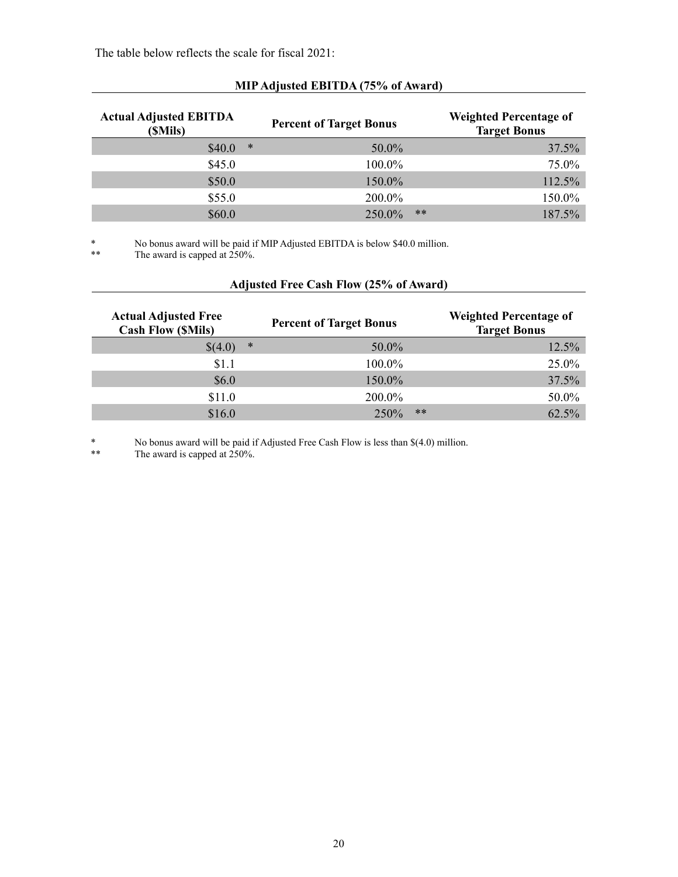| <b>Actual Adjusted EBITDA</b><br>(SMils) |        | <b>Percent of Target Bonus</b> |       | <b>Weighted Percentage of</b><br><b>Target Bonus</b> |
|------------------------------------------|--------|--------------------------------|-------|------------------------------------------------------|
| \$40.0                                   | $\ast$ | 50.0%                          |       | 37.5%                                                |
| \$45.0                                   |        | 100.0%                         |       | 75.0%                                                |
| \$50.0                                   |        | 150.0%                         |       | 112.5%                                               |
| \$55.0                                   |        | 200.0%                         |       | 150.0%                                               |
| \$60.0                                   |        | 250.0%                         | $***$ | 187.5%                                               |

# **MIP Adjusted EBITDA (75% of Award)**

\* No bonus award will be paid if MIP Adjusted EBITDA is below \$40.0 million.<br>\*\* The award is canned at 250%

The award is capped at  $250%$ .

# **Adjusted Free Cash Flow (25% of Award)**

| <b>Actual Adjusted Free</b><br><b>Cash Flow (SMils)</b> |        | <b>Percent of Target Bonus</b> |       | <b>Weighted Percentage of</b><br><b>Target Bonus</b> |  |
|---------------------------------------------------------|--------|--------------------------------|-------|------------------------------------------------------|--|
| \$(4.0)                                                 | $\ast$ | 50.0%                          |       | 12.5%                                                |  |
| \$1.1                                                   |        | 100.0%                         |       | 25.0%                                                |  |
| \$6.0                                                   |        | 150.0%                         |       | 37.5%                                                |  |
| \$11.0                                                  |        | 200.0%                         |       | 50.0%                                                |  |
| \$16.0                                                  |        | 250\%                          | $***$ | $62.5\%$                                             |  |

\* No bonus award will be paid if Adjusted Free Cash Flow is less than \$(4.0) million.<br>\*\* The award is canned at 250%.

The award is capped at  $250%$ .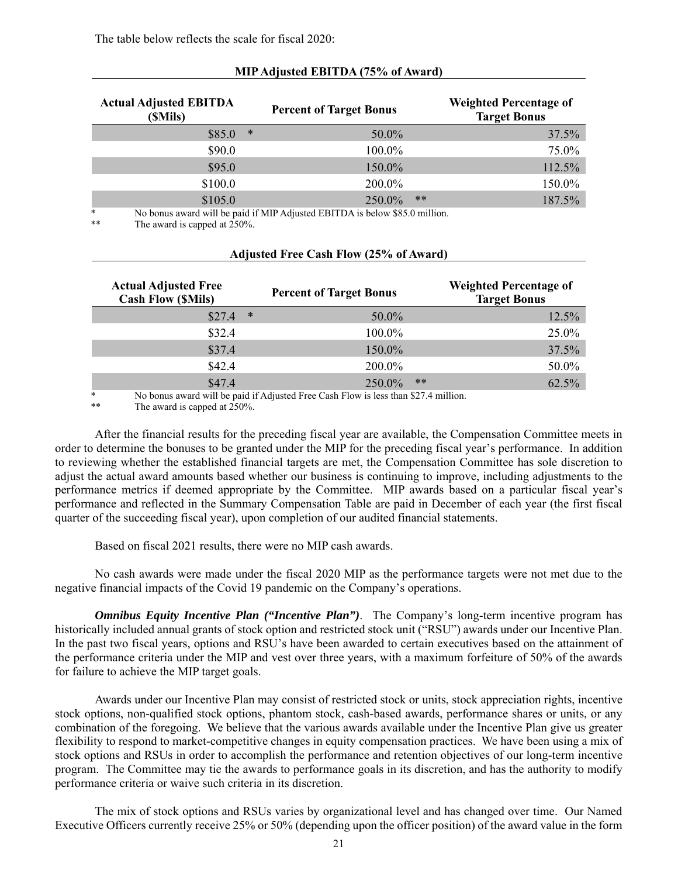| <b>Actual Adjusted EBITDA</b><br>(\$Mils) | <b>Percent of Target Bonus</b> | <b>Weighted Percentage of</b><br><b>Target Bonus</b> |
|-------------------------------------------|--------------------------------|------------------------------------------------------|
| \$85.0                                    | $\ast$<br>50.0%                | 37.5%                                                |
| \$90.0                                    | 100.0%                         | 75.0%                                                |
| \$95.0                                    | 150.0%                         | 112.5%                                               |
| \$100.0                                   | 200.0%                         | 150.0%                                               |
| \$105.0                                   | 250.0%<br>.                    | $***$<br>187.5%<br>                                  |

#### **MIP Adjusted EBITDA (75% of Award)**

\* No bonus award will be paid if MIP Adjusted EBITDA is below \$85.0 million.<br>\*\* The award is canned at 250%

The award is capped at 250%.

#### **Adjusted Free Cash Flow (25% of Award)**

| <b>Actual Adjusted Free</b><br><b>Cash Flow (SMils)</b> | <b>Percent of Target Bonus</b> | <b>Weighted Percentage of</b><br><b>Target Bonus</b> |
|---------------------------------------------------------|--------------------------------|------------------------------------------------------|
| $\ast$<br>\$27.4                                        | 50.0%                          | 12.5%                                                |
| \$32.4                                                  | 100.0%                         | 25.0%                                                |
| \$37.4                                                  | 150.0%                         | 37.5%                                                |
| \$42.4                                                  | 200.0%                         | 50.0%                                                |
| \$47.4                                                  | 250.0%                         | $***$<br>62.5%                                       |

No bonus award will be paid if Adjusted Free Cash Flow is less than \$27.4 million.

\*\* The award is capped at 250%.

After the financial results for the preceding fiscal year are available, the Compensation Committee meets in order to determine the bonuses to be granted under the MIP for the preceding fiscal year's performance. In addition to reviewing whether the established financial targets are met, the Compensation Committee has sole discretion to adjust the actual award amounts based whether our business is continuing to improve, including adjustments to the performance metrics if deemed appropriate by the Committee. MIP awards based on a particular fiscal year's performance and reflected in the Summary Compensation Table are paid in December of each year (the first fiscal quarter of the succeeding fiscal year), upon completion of our audited financial statements.

Based on fiscal 2021 results, there were no MIP cash awards.

No cash awards were made under the fiscal 2020 MIP as the performance targets were not met due to the negative financial impacts of the Covid 19 pandemic on the Company's operations.

*Omnibus Equity Incentive Plan ("Incentive Plan"). The Company's long-term incentive program has* historically included annual grants of stock option and restricted stock unit ("RSU") awards under our Incentive Plan. In the past two fiscal years, options and RSU's have been awarded to certain executives based on the attainment of the performance criteria under the MIP and vest over three years, with a maximum forfeiture of 50% of the awards for failure to achieve the MIP target goals.

Awards under our Incentive Plan may consist of restricted stock or units, stock appreciation rights, incentive stock options, non-qualified stock options, phantom stock, cash-based awards, performance shares or units, or any combination of the foregoing. We believe that the various awards available under the Incentive Plan give us greater flexibility to respond to market-competitive changes in equity compensation practices. We have been using a mix of stock options and RSUs in order to accomplish the performance and retention objectives of our long-term incentive program. The Committee may tie the awards to performance goals in its discretion, and has the authority to modify performance criteria or waive such criteria in its discretion.

The mix of stock options and RSUs varies by organizational level and has changed over time. Our Named Executive Officers currently receive 25% or 50% (depending upon the officer position) of the award value in the form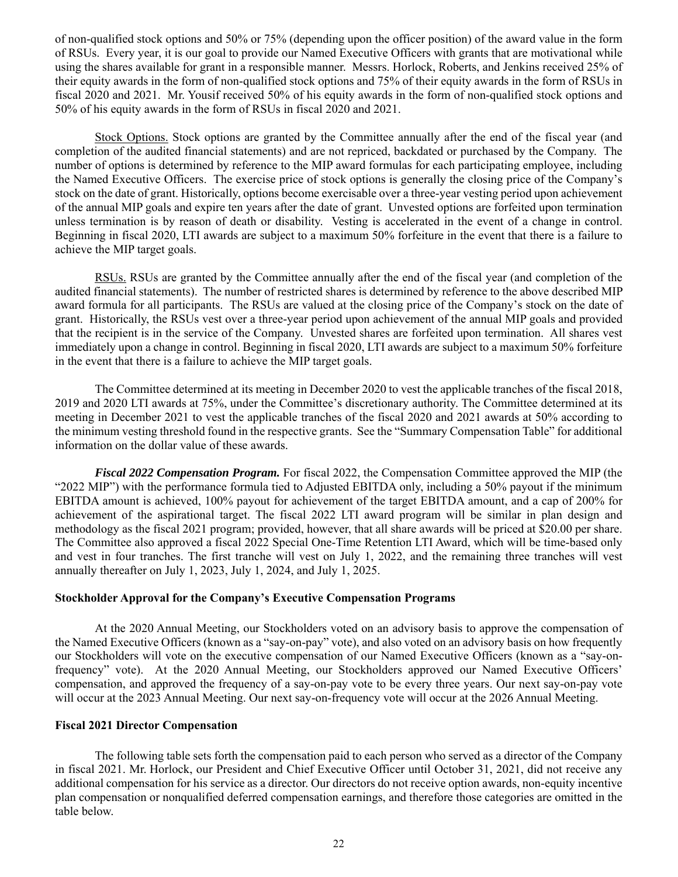of non-qualified stock options and 50% or 75% (depending upon the officer position) of the award value in the form of RSUs. Every year, it is our goal to provide our Named Executive Officers with grants that are motivational while using the shares available for grant in a responsible manner. Messrs. Horlock, Roberts, and Jenkins received 25% of their equity awards in the form of non-qualified stock options and 75% of their equity awards in the form of RSUs in fiscal 2020 and 2021. Mr. Yousif received 50% of his equity awards in the form of non-qualified stock options and 50% of his equity awards in the form of RSUs in fiscal 2020 and 2021.

 Stock Options. Stock options are granted by the Committee annually after the end of the fiscal year (and completion of the audited financial statements) and are not repriced, backdated or purchased by the Company. The number of options is determined by reference to the MIP award formulas for each participating employee, including the Named Executive Officers. The exercise price of stock options is generally the closing price of the Company's stock on the date of grant. Historically, options become exercisable over a three-year vesting period upon achievement of the annual MIP goals and expire ten years after the date of grant. Unvested options are forfeited upon termination unless termination is by reason of death or disability. Vesting is accelerated in the event of a change in control. Beginning in fiscal 2020, LTI awards are subject to a maximum 50% forfeiture in the event that there is a failure to achieve the MIP target goals.

 RSUs. RSUs are granted by the Committee annually after the end of the fiscal year (and completion of the audited financial statements). The number of restricted shares is determined by reference to the above described MIP award formula for all participants. The RSUs are valued at the closing price of the Company's stock on the date of grant. Historically, the RSUs vest over a three-year period upon achievement of the annual MIP goals and provided that the recipient is in the service of the Company. Unvested shares are forfeited upon termination. All shares vest immediately upon a change in control. Beginning in fiscal 2020, LTI awards are subject to a maximum 50% forfeiture in the event that there is a failure to achieve the MIP target goals.

 The Committee determined at its meeting in December 2020 to vest the applicable tranches of the fiscal 2018, 2019 and 2020 LTI awards at 75%, under the Committee's discretionary authority. The Committee determined at its meeting in December 2021 to vest the applicable tranches of the fiscal 2020 and 2021 awards at 50% according to the minimum vesting threshold found in the respective grants. See the "Summary Compensation Table" for additional information on the dollar value of these awards.

*Fiscal 2022 Compensation Program.* For fiscal 2022, the Compensation Committee approved the MIP (the "2022 MIP") with the performance formula tied to Adjusted EBITDA only, including a 50% payout if the minimum EBITDA amount is achieved, 100% payout for achievement of the target EBITDA amount, and a cap of 200% for achievement of the aspirational target. The fiscal 2022 LTI award program will be similar in plan design and methodology as the fiscal 2021 program; provided, however, that all share awards will be priced at \$20.00 per share. The Committee also approved a fiscal 2022 Special One-Time Retention LTI Award, which will be time-based only and vest in four tranches. The first tranche will vest on July 1, 2022, and the remaining three tranches will vest annually thereafter on July 1, 2023, July 1, 2024, and July 1, 2025.

#### **Stockholder Approval for the Company's Executive Compensation Programs**

At the 2020 Annual Meeting, our Stockholders voted on an advisory basis to approve the compensation of the Named Executive Officers (known as a "say-on-pay" vote), and also voted on an advisory basis on how frequently our Stockholders will vote on the executive compensation of our Named Executive Officers (known as a "say-onfrequency" vote). At the 2020 Annual Meeting, our Stockholders approved our Named Executive Officers' compensation, and approved the frequency of a say-on-pay vote to be every three years. Our next say-on-pay vote will occur at the 2023 Annual Meeting. Our next say-on-frequency vote will occur at the 2026 Annual Meeting.

#### **Fiscal 2021 Director Compensation**

The following table sets forth the compensation paid to each person who served as a director of the Company in fiscal 2021. Mr. Horlock, our President and Chief Executive Officer until October 31, 2021, did not receive any additional compensation for his service as a director. Our directors do not receive option awards, non-equity incentive plan compensation or nonqualified deferred compensation earnings, and therefore those categories are omitted in the table below.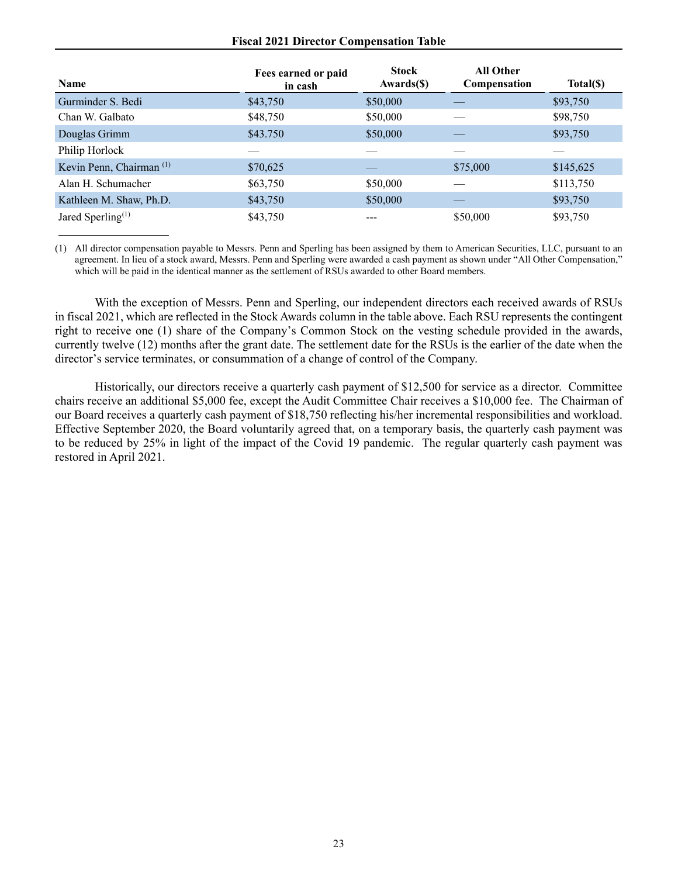#### **Fiscal 2021 Director Compensation Table**

| <b>Name</b>                         | Fees earned or paid<br>in cash | <b>Stock</b><br>Awards(\$) | All Other<br>Compensation | Total(\$) |
|-------------------------------------|--------------------------------|----------------------------|---------------------------|-----------|
| Gurminder S. Bedi                   | \$43,750                       | \$50,000                   |                           | \$93,750  |
| Chan W. Galbato                     | \$48,750                       | \$50,000                   |                           | \$98,750  |
| Douglas Grimm                       | \$43.750                       | \$50,000                   |                           | \$93,750  |
| Philip Horlock                      |                                |                            |                           |           |
| Kevin Penn, Chairman <sup>(1)</sup> | \$70,625                       |                            | \$75,000                  | \$145,625 |
| Alan H. Schumacher                  | \$63,750                       | \$50,000                   |                           | \$113,750 |
| Kathleen M. Shaw, Ph.D.             | \$43,750                       | \$50,000                   |                           | \$93,750  |
| Jared Sperling <sup>(1)</sup>       | \$43,750                       |                            | \$50,000                  | \$93,750  |

(1) All director compensation payable to Messrs. Penn and Sperling has been assigned by them to American Securities, LLC, pursuant to an agreement. In lieu of a stock award, Messrs. Penn and Sperling were awarded a cash payment as shown under "All Other Compensation," which will be paid in the identical manner as the settlement of RSUs awarded to other Board members.

With the exception of Messrs. Penn and Sperling, our independent directors each received awards of RSUs in fiscal 2021, which are reflected in the Stock Awards column in the table above. Each RSU represents the contingent right to receive one (1) share of the Company's Common Stock on the vesting schedule provided in the awards, currently twelve (12) months after the grant date. The settlement date for the RSUs is the earlier of the date when the director's service terminates, or consummation of a change of control of the Company.

Historically, our directors receive a quarterly cash payment of \$12,500 for service as a director. Committee chairs receive an additional \$5,000 fee, except the Audit Committee Chair receives a \$10,000 fee. The Chairman of our Board receives a quarterly cash payment of \$18,750 reflecting his/her incremental responsibilities and workload. Effective September 2020, the Board voluntarily agreed that, on a temporary basis, the quarterly cash payment was to be reduced by 25% in light of the impact of the Covid 19 pandemic. The regular quarterly cash payment was restored in April 2021.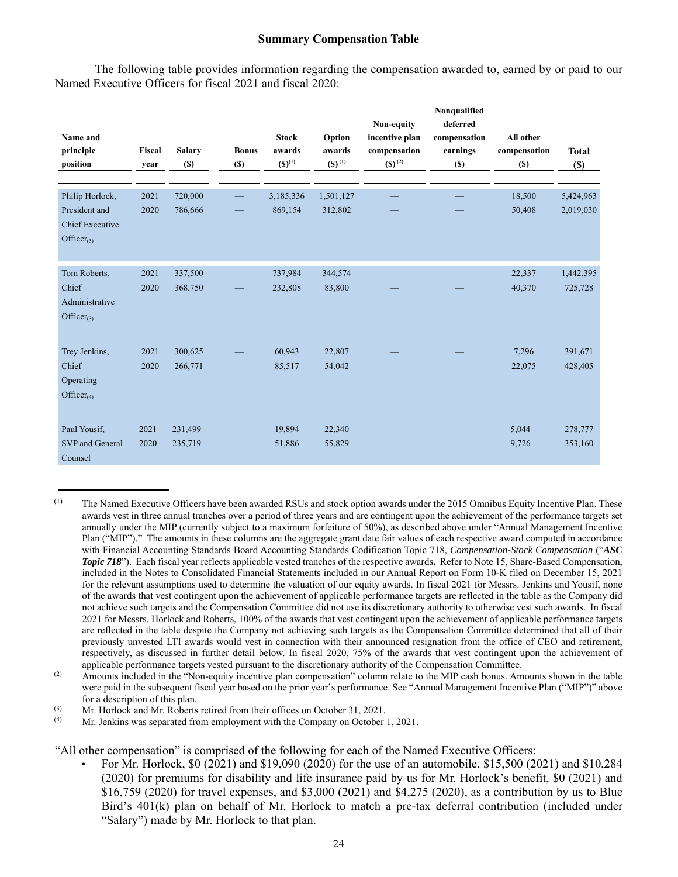#### **Summary Compensation Table**

The following table provides information regarding the compensation awarded to, earned by or paid to our Named Executive Officers for fiscal 2021 and fiscal 2020:

| Name and<br>principle<br>position                           | Fiscal<br>year | <b>Salary</b><br>(S) | <b>Bonus</b><br>(S) | <b>Stock</b><br>awards<br>$(S)^{(1)}$ | Option<br>awards<br>$(S)$ <sup>(1)</sup> | Non-equity<br>incentive plan<br>compensation<br>$(S)^{(2)}$ | Nonqualified<br>deferred<br>compensation<br>earnings<br>(S) | All other<br>compensation<br>$(\$)$ | <b>Total</b><br>$(\$)$ |
|-------------------------------------------------------------|----------------|----------------------|---------------------|---------------------------------------|------------------------------------------|-------------------------------------------------------------|-------------------------------------------------------------|-------------------------------------|------------------------|
| Philip Horlock,                                             | 2021           | 720,000              |                     | 3,185,336                             | 1,501,127                                |                                                             |                                                             | 18,500                              | 5,424,963              |
| President and<br><b>Chief Executive</b><br>Office $r_{(3)}$ | 2020           | 786,666              |                     | 869,154                               | 312,802                                  |                                                             |                                                             | 50,408                              | 2,019,030              |
| Tom Roberts,                                                | 2021           | 337,500              |                     | 737,984                               | 344,574                                  |                                                             |                                                             | 22,337                              | 1,442,395              |
| Chief<br>Administrative<br>$Officeer_{(3)}$                 | 2020           | 368,750              |                     | 232,808                               | 83,800                                   |                                                             |                                                             | 40,370                              | 725,728                |
| Trey Jenkins,                                               | 2021           | 300,625              |                     | 60,943                                | 22,807                                   |                                                             |                                                             | 7,296                               | 391,671                |
| Chief<br>Operating<br>Office $r_{(4)}$                      | 2020           | 266,771              |                     | 85,517                                | 54,042                                   |                                                             |                                                             | 22,075                              | 428,405                |
| Paul Yousif,                                                | 2021           | 231,499              |                     | 19,894                                | 22,340                                   |                                                             |                                                             | 5,044                               | 278,777                |
| SVP and General<br>Counsel                                  | 2020           | 235,719              |                     | 51,886                                | 55,829                                   |                                                             |                                                             | 9,726                               | 353,160                |

<sup>(1)</sup> The Named Executive Officers have been awarded RSUs and stock option awards under the 2015 Omnibus Equity Incentive Plan. These awards vest in three annual tranches over a period of three years and are contingent upon the achievement of the performance targets set annually under the MIP (currently subject to a maximum forfeiture of 50%), as described above under "Annual Management Incentive Plan ("MIP")." The amounts in these columns are the aggregate grant date fair values of each respective award computed in accordance with Financial Accounting Standards Board Accounting Standards Codification Topic 718, *Compensation-Stock Compensation* ("*ASC Topic 718*"). Each fiscal year reflects applicable vested tranches of the respective awards**.** Refer to Note 15, Share-Based Compensation, included in the Notes to Consolidated Financial Statements included in our Annual Report on Form 10-K filed on December 15, 2021 for the relevant assumptions used to determine the valuation of our equity awards. In fiscal 2021 for Messrs. Jenkins and Yousif, none of the awards that vest contingent upon the achievement of applicable performance targets are reflected in the table as the Company did not achieve such targets and the Compensation Committee did not use its discretionary authority to otherwise vest such awards. In fiscal 2021 for Messrs. Horlock and Roberts, 100% of the awards that vest contingent upon the achievement of applicable performance targets are reflected in the table despite the Company not achieving such targets as the Compensation Committee determined that all of their previously unvested LTI awards would vest in connection with their announced resignation from the office of CEO and retirement, respectively, as discussed in further detail below. In fiscal 2020, 75% of the awards that vest contingent upon the achievement of applicable performance targets vested pursuant to the discretionary authority of the Compensation Committee.

"All other compensation" is comprised of the following for each of the Named Executive Officers:

• For Mr. Horlock, \$0 (2021) and \$19,090 (2020) for the use of an automobile, \$15,500 (2021) and \$10,284 (2020) for premiums for disability and life insurance paid by us for Mr. Horlock's benefit, \$0 (2021) and \$16,759 (2020) for travel expenses, and \$3,000 (2021) and \$4,275 (2020), as a contribution by us to Blue Bird's 401(k) plan on behalf of Mr. Horlock to match a pre-tax deferral contribution (included under "Salary") made by Mr. Horlock to that plan.

<sup>(2)</sup> Amounts included in the "Non-equity incentive plan compensation" column relate to the MIP cash bonus. Amounts shown in the table were paid in the subsequent fiscal year based on the prior year's performance. See "Annual Management Incentive Plan ("MIP")" above for a description of this plan.

<sup>(3)</sup> Mr. Horlock and Mr. Roberts retired from their offices on October 31, 2021.

<sup>(4)</sup> Mr. Jenkins was separated from employment with the Company on October 1, 2021.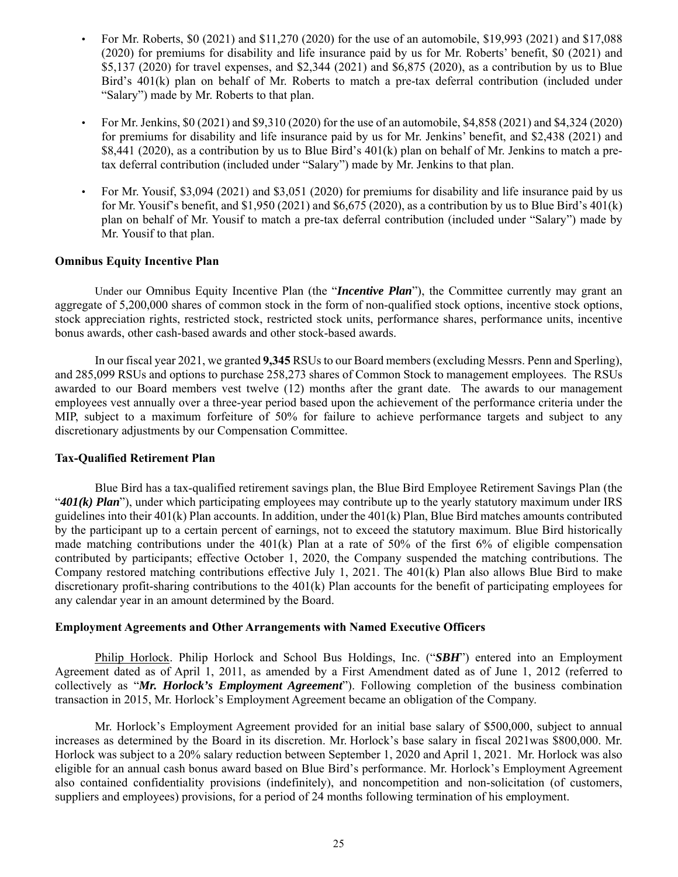- For Mr. Roberts, \$0 (2021) and \$11,270 (2020) for the use of an automobile, \$19,993 (2021) and \$17,088 (2020) for premiums for disability and life insurance paid by us for Mr. Roberts' benefit, \$0 (2021) and \$5,137 (2020) for travel expenses, and \$2,344 (2021) and \$6,875 (2020), as a contribution by us to Blue Bird's 401(k) plan on behalf of Mr. Roberts to match a pre-tax deferral contribution (included under "Salary") made by Mr. Roberts to that plan.
- For Mr. Jenkins, \$0 (2021) and \$9,310 (2020) for the use of an automobile, \$4,858 (2021) and \$4,324 (2020) for premiums for disability and life insurance paid by us for Mr. Jenkins' benefit, and \$2,438 (2021) and \$8,441 (2020), as a contribution by us to Blue Bird's 401(k) plan on behalf of Mr. Jenkins to match a pretax deferral contribution (included under "Salary") made by Mr. Jenkins to that plan.
- For Mr. Yousif, \$3,094 (2021) and \$3,051 (2020) for premiums for disability and life insurance paid by us for Mr. Yousif's benefit, and \$1,950 (2021) and \$6,675 (2020), as a contribution by us to Blue Bird's  $401(k)$ plan on behalf of Mr. Yousif to match a pre-tax deferral contribution (included under "Salary") made by Mr. Yousif to that plan.

#### **Omnibus Equity Incentive Plan**

Under our Omnibus Equity Incentive Plan (the "*Incentive Plan*"), the Committee currently may grant an aggregate of 5,200,000 shares of common stock in the form of non-qualified stock options, incentive stock options, stock appreciation rights, restricted stock, restricted stock units, performance shares, performance units, incentive bonus awards, other cash-based awards and other stock-based awards.

In our fiscal year 2021, we granted **9,345** RSUs to our Board members (excluding Messrs. Penn and Sperling), and 285,099 RSUs and options to purchase 258,273 shares of Common Stock to management employees. The RSUs awarded to our Board members vest twelve (12) months after the grant date. The awards to our management employees vest annually over a three-year period based upon the achievement of the performance criteria under the MIP, subject to a maximum forfeiture of 50% for failure to achieve performance targets and subject to any discretionary adjustments by our Compensation Committee.

#### **Tax-Qualified Retirement Plan**

Blue Bird has a tax-qualified retirement savings plan, the Blue Bird Employee Retirement Savings Plan (the "*401(k) Plan*"), under which participating employees may contribute up to the yearly statutory maximum under IRS guidelines into their  $401(k)$  Plan accounts. In addition, under the  $401(k)$  Plan, Blue Bird matches amounts contributed by the participant up to a certain percent of earnings, not to exceed the statutory maximum. Blue Bird historically made matching contributions under the  $401(k)$  Plan at a rate of 50% of the first 6% of eligible compensation contributed by participants; effective October 1, 2020, the Company suspended the matching contributions. The Company restored matching contributions effective July 1, 2021. The 401(k) Plan also allows Blue Bird to make discretionary profit-sharing contributions to the 401(k) Plan accounts for the benefit of participating employees for any calendar year in an amount determined by the Board.

## **Employment Agreements and Other Arrangements with Named Executive Officers**

Philip Horlock. Philip Horlock and School Bus Holdings, Inc. ("*SBH*") entered into an Employment Agreement dated as of April 1, 2011, as amended by a First Amendment dated as of June 1, 2012 (referred to collectively as "*Mr. Horlock's Employment Agreement*"). Following completion of the business combination transaction in 2015, Mr. Horlock's Employment Agreement became an obligation of the Company.

Mr. Horlock's Employment Agreement provided for an initial base salary of \$500,000, subject to annual increases as determined by the Board in its discretion. Mr. Horlock's base salary in fiscal 2021was \$800,000. Mr. Horlock was subject to a 20% salary reduction between September 1, 2020 and April 1, 2021. Mr. Horlock was also eligible for an annual cash bonus award based on Blue Bird's performance. Mr. Horlock's Employment Agreement also contained confidentiality provisions (indefinitely), and noncompetition and non-solicitation (of customers, suppliers and employees) provisions, for a period of 24 months following termination of his employment.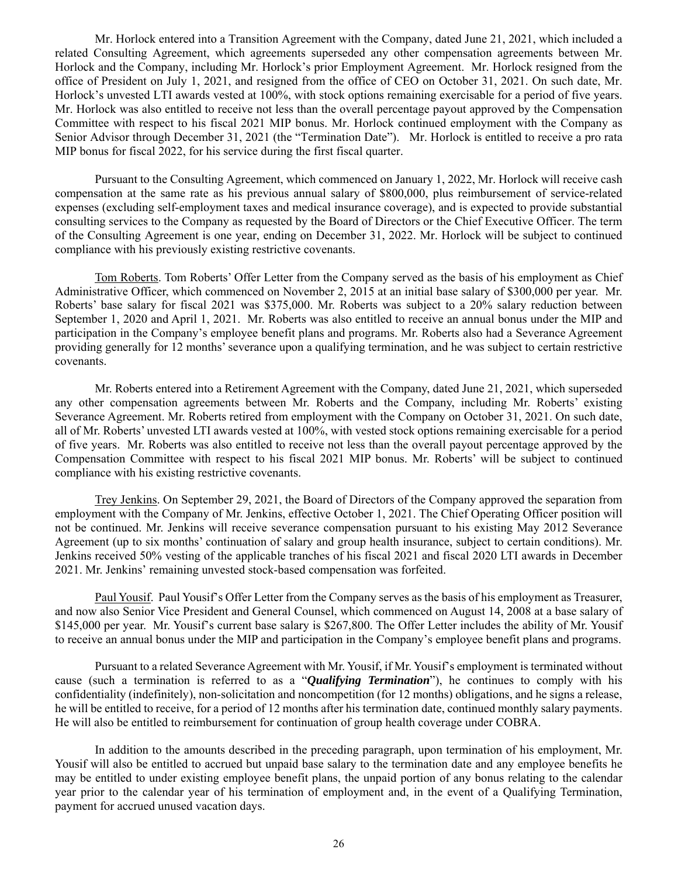Mr. Horlock entered into a Transition Agreement with the Company, dated June 21, 2021, which included a related Consulting Agreement, which agreements superseded any other compensation agreements between Mr. Horlock and the Company, including Mr. Horlock's prior Employment Agreement. Mr. Horlock resigned from the office of President on July 1, 2021, and resigned from the office of CEO on October 31, 2021. On such date, Mr. Horlock's unvested LTI awards vested at 100%, with stock options remaining exercisable for a period of five years. Mr. Horlock was also entitled to receive not less than the overall percentage payout approved by the Compensation Committee with respect to his fiscal 2021 MIP bonus. Mr. Horlock continued employment with the Company as Senior Advisor through December 31, 2021 (the "Termination Date"). Mr. Horlock is entitled to receive a pro rata MIP bonus for fiscal 2022, for his service during the first fiscal quarter.

Pursuant to the Consulting Agreement, which commenced on January 1, 2022, Mr. Horlock will receive cash compensation at the same rate as his previous annual salary of \$800,000, plus reimbursement of service-related expenses (excluding self-employment taxes and medical insurance coverage), and is expected to provide substantial consulting services to the Company as requested by the Board of Directors or the Chief Executive Officer. The term of the Consulting Agreement is one year, ending on December 31, 2022. Mr. Horlock will be subject to continued compliance with his previously existing restrictive covenants.

Tom Roberts. Tom Roberts' Offer Letter from the Company served as the basis of his employment as Chief Administrative Officer, which commenced on November 2, 2015 at an initial base salary of \$300,000 per year. Mr. Roberts' base salary for fiscal 2021 was \$375,000. Mr. Roberts was subject to a 20% salary reduction between September 1, 2020 and April 1, 2021. Mr. Roberts was also entitled to receive an annual bonus under the MIP and participation in the Company's employee benefit plans and programs. Mr. Roberts also had a Severance Agreement providing generally for 12 months' severance upon a qualifying termination, and he was subject to certain restrictive covenants.

Mr. Roberts entered into a Retirement Agreement with the Company, dated June 21, 2021, which superseded any other compensation agreements between Mr. Roberts and the Company, including Mr. Roberts' existing Severance Agreement. Mr. Roberts retired from employment with the Company on October 31, 2021. On such date, all of Mr. Roberts' unvested LTI awards vested at 100%, with vested stock options remaining exercisable for a period of five years. Mr. Roberts was also entitled to receive not less than the overall payout percentage approved by the Compensation Committee with respect to his fiscal 2021 MIP bonus. Mr. Roberts' will be subject to continued compliance with his existing restrictive covenants.

Trey Jenkins. On September 29, 2021, the Board of Directors of the Company approved the separation from employment with the Company of Mr. Jenkins, effective October 1, 2021. The Chief Operating Officer position will not be continued. Mr. Jenkins will receive severance compensation pursuant to his existing May 2012 Severance Agreement (up to six months' continuation of salary and group health insurance, subject to certain conditions). Mr. Jenkins received 50% vesting of the applicable tranches of his fiscal 2021 and fiscal 2020 LTI awards in December 2021. Mr. Jenkins' remaining unvested stock-based compensation was forfeited.

Paul Yousif. Paul Yousif's Offer Letter from the Company serves as the basis of his employment as Treasurer, and now also Senior Vice President and General Counsel, which commenced on August 14, 2008 at a base salary of \$145,000 per year. Mr. Yousif's current base salary is \$267,800. The Offer Letter includes the ability of Mr. Yousif to receive an annual bonus under the MIP and participation in the Company's employee benefit plans and programs.

Pursuant to a related Severance Agreement with Mr. Yousif, if Mr. Yousif's employment is terminated without cause (such a termination is referred to as a "*Qualifying Termination*"), he continues to comply with his confidentiality (indefinitely), non-solicitation and noncompetition (for 12 months) obligations, and he signs a release, he will be entitled to receive, for a period of 12 months after his termination date, continued monthly salary payments. He will also be entitled to reimbursement for continuation of group health coverage under COBRA.

In addition to the amounts described in the preceding paragraph, upon termination of his employment, Mr. Yousif will also be entitled to accrued but unpaid base salary to the termination date and any employee benefits he may be entitled to under existing employee benefit plans, the unpaid portion of any bonus relating to the calendar year prior to the calendar year of his termination of employment and, in the event of a Qualifying Termination, payment for accrued unused vacation days.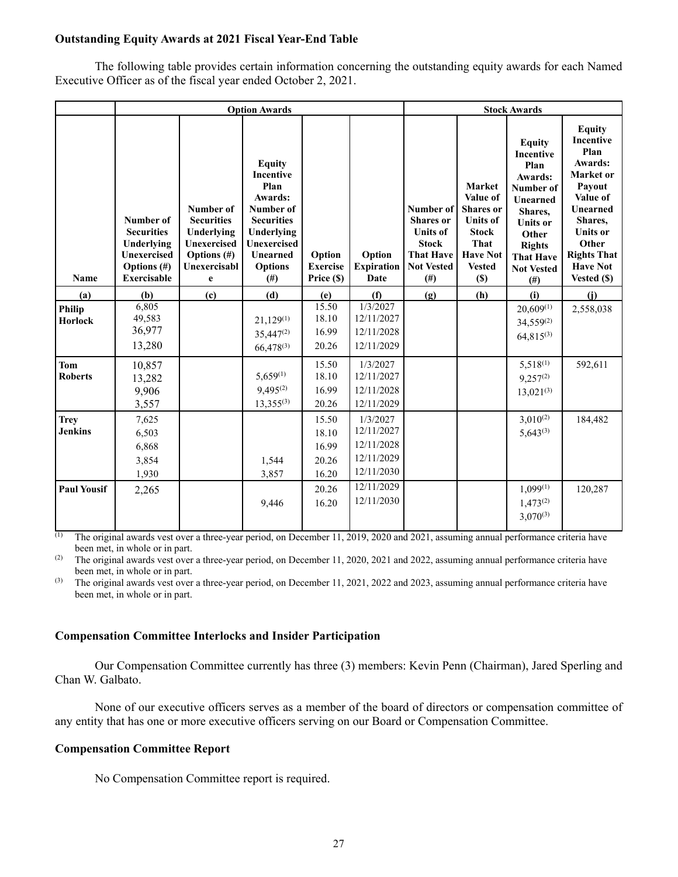## **Outstanding Equity Awards at 2021 Fiscal Year-End Table**

The following table provides certain information concerning the outstanding equity awards for each Named Executive Officer as of the fiscal year ended October 2, 2021.

|                               |                                                                                                         |                                                                                                    | <b>Option Awards</b>                                                                                                                                                                 |                                           |                                                                  |                                                                                                                     |                                                                                                                                        | <b>Stock Awards</b>                                                                                                                                                                                |                                                                                                                                                                                             |
|-------------------------------|---------------------------------------------------------------------------------------------------------|----------------------------------------------------------------------------------------------------|--------------------------------------------------------------------------------------------------------------------------------------------------------------------------------------|-------------------------------------------|------------------------------------------------------------------|---------------------------------------------------------------------------------------------------------------------|----------------------------------------------------------------------------------------------------------------------------------------|----------------------------------------------------------------------------------------------------------------------------------------------------------------------------------------------------|---------------------------------------------------------------------------------------------------------------------------------------------------------------------------------------------|
| <b>Name</b>                   | Number of<br><b>Securities</b><br>Underlying<br><b>Unexercised</b><br>Options (#)<br><b>Exercisable</b> | Number of<br><b>Securities</b><br>Underlying<br>Unexercised<br>Options $(\#)$<br>Unexercisabl<br>e | <b>Equity</b><br><b>Incentive</b><br>Plan<br>Awards:<br>Number of<br><b>Securities</b><br>Underlying<br><b>Unexercised</b><br><b>Unearned</b><br><b>Options</b><br>(# <sup>2</sup> ) | Option<br><b>Exercise</b><br>Price (\$)   | Option<br><b>Expiration</b><br><b>Date</b>                       | Number of<br><b>Shares</b> or<br><b>Units of</b><br><b>Stock</b><br><b>That Have</b><br><b>Not Vested</b><br>$(\#)$ | <b>Market</b><br>Value of<br><b>Shares</b> or<br><b>Units of</b><br><b>Stock</b><br>That<br><b>Have Not</b><br><b>Vested</b><br>$(\$)$ | <b>Equity</b><br><b>Incentive</b><br>Plan<br>Awards:<br>Number of<br><b>Unearned</b><br>Shares,<br><b>Units or</b><br>Other<br><b>Rights</b><br><b>That Have</b><br><b>Not Vested</b><br>$($ # $)$ | <b>Equity</b><br>Incentive<br>Plan<br>Awards:<br>Market or<br>Payout<br>Value of<br>Unearned<br>Shares.<br><b>Units or</b><br>Other<br><b>Rights That</b><br><b>Have Not</b><br>Vested (\$) |
| (a)                           | (b)                                                                                                     | (c)                                                                                                | (d)                                                                                                                                                                                  | (e)                                       | (f)                                                              | (g)                                                                                                                 | (h)                                                                                                                                    | (i)                                                                                                                                                                                                | (i)                                                                                                                                                                                         |
| Philip<br>Horlock             | 6,805<br>49,583<br>36,977<br>13,280                                                                     |                                                                                                    | $21,129^{(1)}$<br>$35,447^{(2)}$<br>$66,478^{(3)}$                                                                                                                                   | 15.50<br>18.10<br>16.99<br>20.26          | 1/3/2027<br>12/11/2027<br>12/11/2028<br>12/11/2029               |                                                                                                                     |                                                                                                                                        | $20,609^{(1)}$<br>34,559(2)<br>$64,815^{(3)}$                                                                                                                                                      | 2,558,038                                                                                                                                                                                   |
| <b>Tom</b><br><b>Roberts</b>  | 10,857<br>13,282<br>9,906<br>3,557                                                                      |                                                                                                    | $5,659^{(1)}$<br>$9,495^{(2)}$<br>$13,355^{(3)}$                                                                                                                                     | 15.50<br>18.10<br>16.99<br>20.26          | 1/3/2027<br>12/11/2027<br>12/11/2028<br>12/11/2029               |                                                                                                                     |                                                                                                                                        | $5,518^{(1)}$<br>$9,257^{(2)}$<br>$13,021^{(3)}$                                                                                                                                                   | 592,611                                                                                                                                                                                     |
| <b>Trey</b><br><b>Jenkins</b> | 7,625<br>6,503<br>6,868<br>3,854<br>1,930                                                               |                                                                                                    | 1,544<br>3,857                                                                                                                                                                       | 15.50<br>18.10<br>16.99<br>20.26<br>16.20 | 1/3/2027<br>12/11/2027<br>12/11/2028<br>12/11/2029<br>12/11/2030 |                                                                                                                     |                                                                                                                                        | $3,010^{(2)}$<br>$5,643^{(3)}$                                                                                                                                                                     | 184,482                                                                                                                                                                                     |
| <b>Paul Yousif</b>            | 2,265                                                                                                   |                                                                                                    | 9,446                                                                                                                                                                                | 20.26<br>16.20                            | 12/11/2029<br>12/11/2030                                         |                                                                                                                     |                                                                                                                                        | $1,099^{(1)}$<br>$1,473^{(2)}$<br>$3,070^{(3)}$                                                                                                                                                    | 120,287                                                                                                                                                                                     |

(1) The original awards vest over a three-year period, on December 11, 2019, 2020 and 2021, assuming annual performance criteria have been met, in whole or in part.

<sup>(2)</sup> The original awards vest over a three-year period, on December 11, 2020, 2021 and 2022, assuming annual performance criteria have been met, in whole or in part.

<sup>(3)</sup> The original awards vest over a three-year period, on December 11, 2021, 2022 and 2023, assuming annual performance criteria have been met, in whole or in part.

# **Compensation Committee Interlocks and Insider Participation**

Our Compensation Committee currently has three (3) members: Kevin Penn (Chairman), Jared Sperling and Chan W. Galbato.

None of our executive officers serves as a member of the board of directors or compensation committee of any entity that has one or more executive officers serving on our Board or Compensation Committee.

## **Compensation Committee Report**

No Compensation Committee report is required.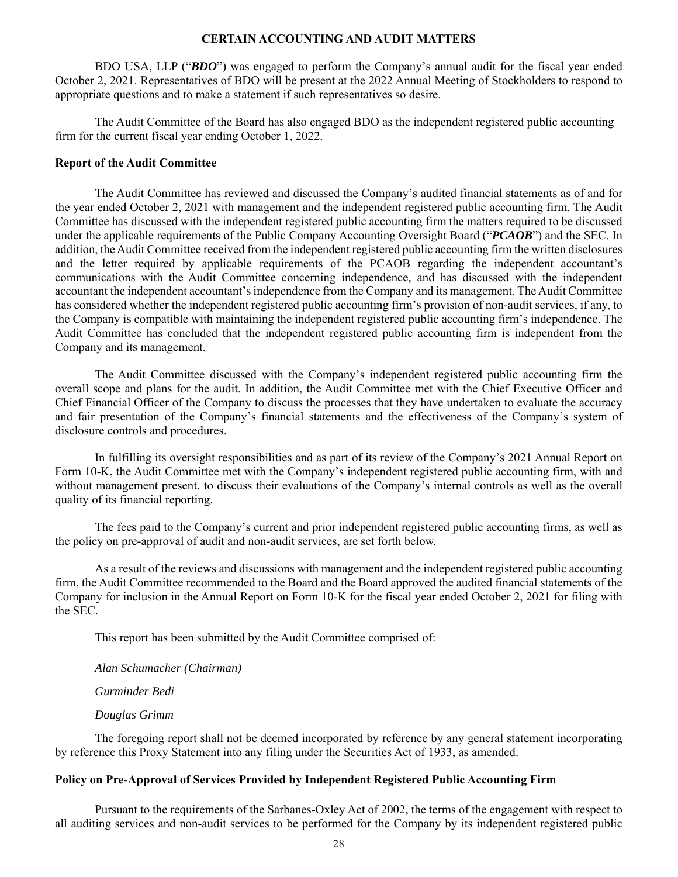## **CERTAIN ACCOUNTING AND AUDIT MATTERS**

BDO USA, LLP ("*BDO*") was engaged to perform the Company's annual audit for the fiscal year ended October 2, 2021. Representatives of BDO will be present at the 2022 Annual Meeting of Stockholders to respond to appropriate questions and to make a statement if such representatives so desire.

The Audit Committee of the Board has also engaged BDO as the independent registered public accounting firm for the current fiscal year ending October 1, 2022.

#### **Report of the Audit Committee**

The Audit Committee has reviewed and discussed the Company's audited financial statements as of and for the year ended October 2, 2021 with management and the independent registered public accounting firm. The Audit Committee has discussed with the independent registered public accounting firm the matters required to be discussed under the applicable requirements of the Public Company Accounting Oversight Board ("*PCAOB*") and the SEC. In addition, the Audit Committee received from the independent registered public accounting firm the written disclosures and the letter required by applicable requirements of the PCAOB regarding the independent accountant's communications with the Audit Committee concerning independence, and has discussed with the independent accountant the independent accountant's independence from the Company and its management. The Audit Committee has considered whether the independent registered public accounting firm's provision of non-audit services, if any, to the Company is compatible with maintaining the independent registered public accounting firm's independence. The Audit Committee has concluded that the independent registered public accounting firm is independent from the Company and its management.

The Audit Committee discussed with the Company's independent registered public accounting firm the overall scope and plans for the audit. In addition, the Audit Committee met with the Chief Executive Officer and Chief Financial Officer of the Company to discuss the processes that they have undertaken to evaluate the accuracy and fair presentation of the Company's financial statements and the effectiveness of the Company's system of disclosure controls and procedures.

In fulfilling its oversight responsibilities and as part of its review of the Company's 2021 Annual Report on Form 10-K, the Audit Committee met with the Company's independent registered public accounting firm, with and without management present, to discuss their evaluations of the Company's internal controls as well as the overall quality of its financial reporting.

The fees paid to the Company's current and prior independent registered public accounting firms, as well as the policy on pre-approval of audit and non-audit services, are set forth below.

As a result of the reviews and discussions with management and the independent registered public accounting firm, the Audit Committee recommended to the Board and the Board approved the audited financial statements of the Company for inclusion in the Annual Report on Form 10-K for the fiscal year ended October 2, 2021 for filing with the SEC.

This report has been submitted by the Audit Committee comprised of:

*Alan Schumacher (Chairman)* 

*Gurminder Bedi* 

*Douglas Grimm* 

The foregoing report shall not be deemed incorporated by reference by any general statement incorporating by reference this Proxy Statement into any filing under the Securities Act of 1933, as amended.

### **Policy on Pre-Approval of Services Provided by Independent Registered Public Accounting Firm**

Pursuant to the requirements of the Sarbanes-Oxley Act of 2002, the terms of the engagement with respect to all auditing services and non-audit services to be performed for the Company by its independent registered public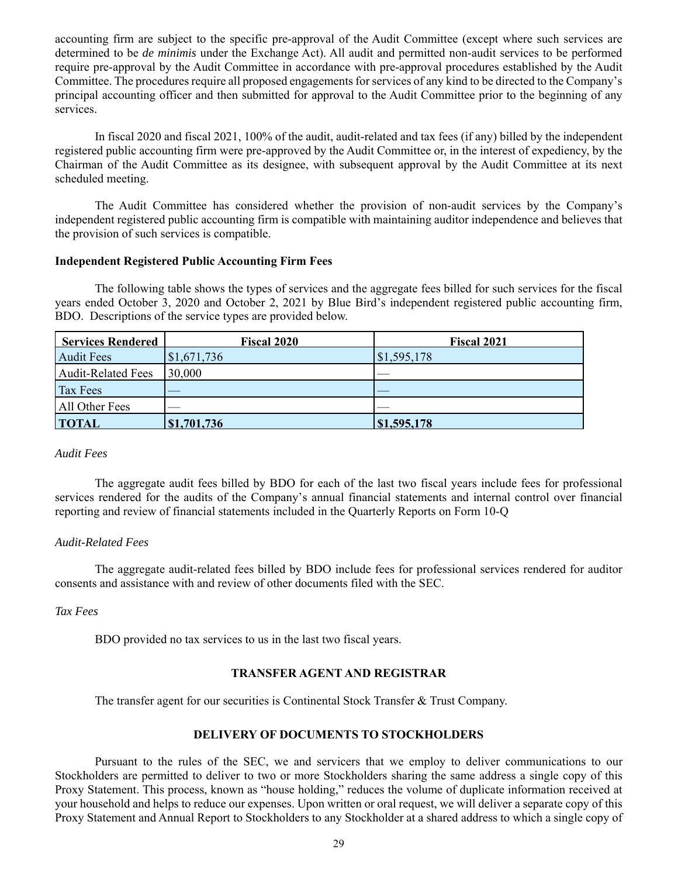accounting firm are subject to the specific pre-approval of the Audit Committee (except where such services are determined to be *de minimis* under the Exchange Act). All audit and permitted non-audit services to be performed require pre-approval by the Audit Committee in accordance with pre-approval procedures established by the Audit Committee. The procedures require all proposed engagements for services of any kind to be directed to the Company's principal accounting officer and then submitted for approval to the Audit Committee prior to the beginning of any services.

In fiscal 2020 and fiscal 2021, 100% of the audit, audit-related and tax fees (if any) billed by the independent registered public accounting firm were pre-approved by the Audit Committee or, in the interest of expediency, by the Chairman of the Audit Committee as its designee, with subsequent approval by the Audit Committee at its next scheduled meeting.

The Audit Committee has considered whether the provision of non-audit services by the Company's independent registered public accounting firm is compatible with maintaining auditor independence and believes that the provision of such services is compatible.

## **Independent Registered Public Accounting Firm Fees**

The following table shows the types of services and the aggregate fees billed for such services for the fiscal years ended October 3, 2020 and October 2, 2021 by Blue Bird's independent registered public accounting firm, BDO. Descriptions of the service types are provided below.

| <b>Services Rendered</b>  | <b>Fiscal 2020</b> | <b>Fiscal 2021</b> |
|---------------------------|--------------------|--------------------|
| <b>Audit Fees</b>         | \$1,671,736        | \$1,595,178        |
| <b>Audit-Related Fees</b> | 30,000             |                    |
| <b>Tax Fees</b>           | __                 |                    |
| All Other Fees            |                    |                    |
| <b>TOTAL</b>              | \$1,701,736        | \$1,595,178        |

#### *Audit Fees*

The aggregate audit fees billed by BDO for each of the last two fiscal years include fees for professional services rendered for the audits of the Company's annual financial statements and internal control over financial reporting and review of financial statements included in the Quarterly Reports on Form 10-Q

# *Audit-Related Fees*

The aggregate audit-related fees billed by BDO include fees for professional services rendered for auditor consents and assistance with and review of other documents filed with the SEC.

# *Tax Fees*

BDO provided no tax services to us in the last two fiscal years.

# **TRANSFER AGENT AND REGISTRAR**

The transfer agent for our securities is Continental Stock Transfer & Trust Company.

# **DELIVERY OF DOCUMENTS TO STOCKHOLDERS**

Pursuant to the rules of the SEC, we and servicers that we employ to deliver communications to our Stockholders are permitted to deliver to two or more Stockholders sharing the same address a single copy of this Proxy Statement. This process, known as "house holding," reduces the volume of duplicate information received at your household and helps to reduce our expenses. Upon written or oral request, we will deliver a separate copy of this Proxy Statement and Annual Report to Stockholders to any Stockholder at a shared address to which a single copy of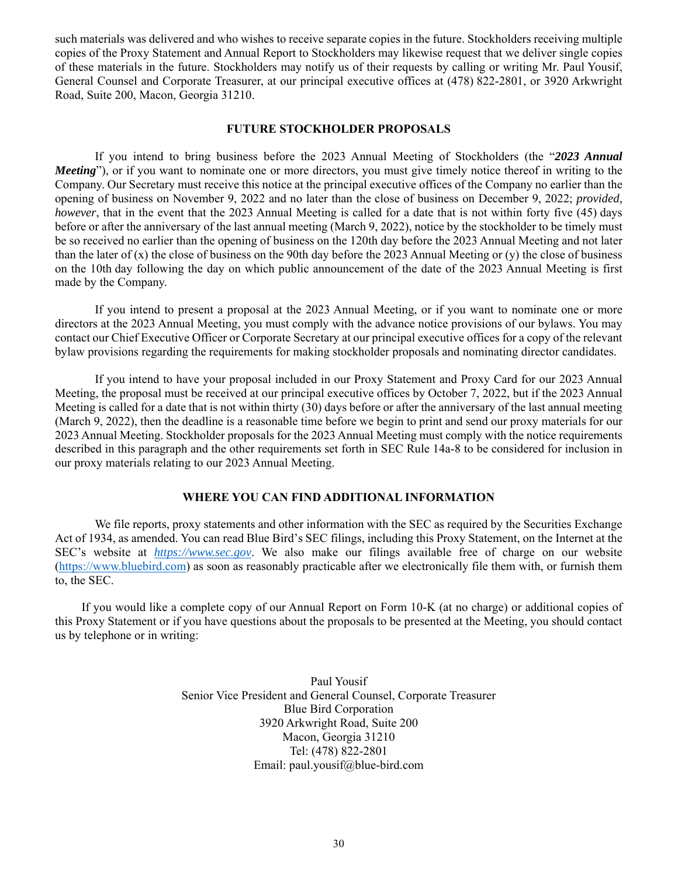such materials was delivered and who wishes to receive separate copies in the future. Stockholders receiving multiple copies of the Proxy Statement and Annual Report to Stockholders may likewise request that we deliver single copies of these materials in the future. Stockholders may notify us of their requests by calling or writing Mr. Paul Yousif, General Counsel and Corporate Treasurer, at our principal executive offices at (478) 822-2801, or 3920 Arkwright Road, Suite 200, Macon, Georgia 31210.

#### **FUTURE STOCKHOLDER PROPOSALS**

If you intend to bring business before the 2023 Annual Meeting of Stockholders (the "*2023 Annual Meeting*"), or if you want to nominate one or more directors, you must give timely notice thereof in writing to the Company. Our Secretary must receive this notice at the principal executive offices of the Company no earlier than the opening of business on November 9, 2022 and no later than the close of business on December 9, 2022; *provided, however*, that in the event that the 2023 Annual Meeting is called for a date that is not within forty five (45) days before or after the anniversary of the last annual meeting (March 9, 2022), notice by the stockholder to be timely must be so received no earlier than the opening of business on the 120th day before the 2023 Annual Meeting and not later than the later of  $(x)$  the close of business on the 90th day before the 2023 Annual Meeting or  $(y)$  the close of business on the 10th day following the day on which public announcement of the date of the 2023 Annual Meeting is first made by the Company.

If you intend to present a proposal at the 2023 Annual Meeting, or if you want to nominate one or more directors at the 2023 Annual Meeting, you must comply with the advance notice provisions of our bylaws. You may contact our Chief Executive Officer or Corporate Secretary at our principal executive offices for a copy of the relevant bylaw provisions regarding the requirements for making stockholder proposals and nominating director candidates.

If you intend to have your proposal included in our Proxy Statement and Proxy Card for our 2023 Annual Meeting, the proposal must be received at our principal executive offices by October 7, 2022, but if the 2023 Annual Meeting is called for a date that is not within thirty (30) days before or after the anniversary of the last annual meeting (March 9, 2022), then the deadline is a reasonable time before we begin to print and send our proxy materials for our 2023 Annual Meeting. Stockholder proposals for the 2023 Annual Meeting must comply with the notice requirements described in this paragraph and the other requirements set forth in SEC Rule 14a-8 to be considered for inclusion in our proxy materials relating to our 2023 Annual Meeting.

# **WHERE YOU CAN FIND ADDITIONAL INFORMATION**

We file reports, proxy statements and other information with the SEC as required by the Securities Exchange Act of 1934, as amended. You can read Blue Bird's SEC filings, including this Proxy Statement, on the Internet at the SEC's website at *https://www.sec.gov*. We also make our filings available free of charge on our website (https://www.bluebird.com) as soon as reasonably practicable after we electronically file them with, or furnish them to, the SEC.

If you would like a complete copy of our Annual Report on Form 10-K (at no charge) or additional copies of this Proxy Statement or if you have questions about the proposals to be presented at the Meeting, you should contact us by telephone or in writing:

> Paul Yousif Senior Vice President and General Counsel, Corporate Treasurer Blue Bird Corporation 3920 Arkwright Road, Suite 200 Macon, Georgia 31210 Tel: (478) 822-2801 Email: paul.yousif@blue-bird.com